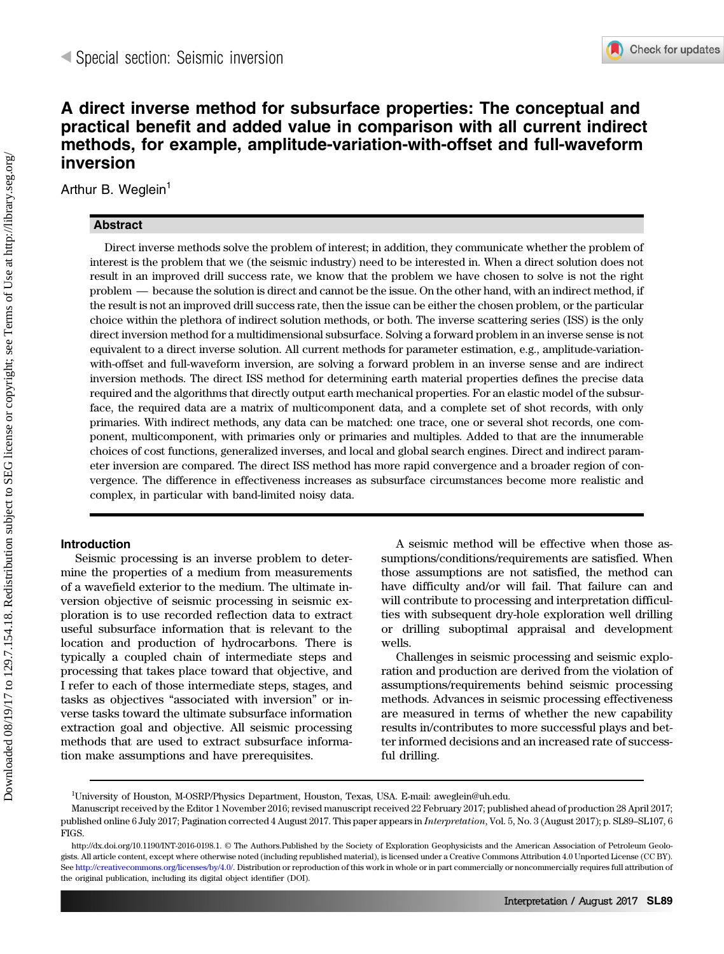# A direct inverse method for subsurface properties: The conceptual and practical benefit and added value in comparison with all current indirect methods, for example, amplitude-variation-with-offset and full-waveform inversion

Arthur B. Weglein<sup>1</sup>

### Abstract

Direct inverse methods solve the problem of interest; in addition, they communicate whether the problem of interest is the problem that we (the seismic industry) need to be interested in. When a direct solution does not result in an improved drill success rate, we know that the problem we have chosen to solve is not the right problem — because the solution is direct and cannot be the issue. On the other hand, with an indirect method, if the result is not an improved drill success rate, then the issue can be either the chosen problem, or the particular choice within the plethora of indirect solution methods, or both. The inverse scattering series (ISS) is the only direct inversion method for a multidimensional subsurface. Solving a forward problem in an inverse sense is not equivalent to a direct inverse solution. All current methods for parameter estimation, e.g., amplitude-variationwith-offset and full-waveform inversion, are solving a forward problem in an inverse sense and are indirect inversion methods. The direct ISS method for determining earth material properties defines the precise data required and the algorithms that directly output earth mechanical properties. For an elastic model of the subsurface, the required data are a matrix of multicomponent data, and a complete set of shot records, with only primaries. With indirect methods, any data can be matched: one trace, one or several shot records, one component, multicomponent, with primaries only or primaries and multiples. Added to that are the innumerable choices of cost functions, generalized inverses, and local and global search engines. Direct and indirect parameter inversion are compared. The direct ISS method has more rapid convergence and a broader region of convergence. The difference in effectiveness increases as subsurface circumstances become more realistic and complex, in particular with band-limited noisy data.

# Introduction

Seismic processing is an inverse problem to determine the properties of a medium from measurements of a wavefield exterior to the medium. The ultimate inversion objective of seismic processing in seismic exploration is to use recorded reflection data to extract useful subsurface information that is relevant to the location and production of hydrocarbons. There is typically a coupled chain of intermediate steps and processing that takes place toward that objective, and I refer to each of those intermediate steps, stages, and tasks as objectives "associated with inversion" or inverse tasks toward the ultimate subsurface information extraction goal and objective. All seismic processing methods that are used to extract subsurface information make assumptions and have prerequisites.

A seismic method will be effective when those assumptions/conditions/requirements are satisfied. When those assumptions are not satisfied, the method can have difficulty and/or will fail. That failure can and will contribute to processing and interpretation difficulties with subsequent dry-hole exploration well drilling or drilling suboptimal appraisal and development wells.

Challenges in seismic processing and seismic exploration and production are derived from the violation of assumptions/requirements behind seismic processing methods. Advances in seismic processing effectiveness are measured in terms of whether the new capability results in/contributes to more successful plays and better informed decisions and an increased rate of successful drilling.

<sup>1</sup> University of Houston, M-OSRP/Physics Department, Houston, Texas, USA. E-mail: aweglein@uh.edu.

Manuscript received by the Editor 1 November 2016; revised manuscript received 22 February 2017; published ahead of production 28 April 2017; published online 6 July 2017; Pagination corrected 4 August 2017. This paper appears in Interpretation, Vol. 5, No. 3 (August 2017); p. SL89–SL107, 6 FIGS.

http://dx.doi.org/10.1190/INT-2016-0198.1. © The Authors.Published by the Society of Exploration Geophysicists and the American Association of Petroleum Geologists. All article content, except where otherwise noted (including republished material), is licensed under a Creative Commons Attribution 4.0 Unported License (CC BY). See <http://creativecommons.org/licenses/by/4.0/>. Distribution or reproduction of this work in whole or in part commercially or noncommercially requires full attribution of the original publication, including its digital object identifier (DOI).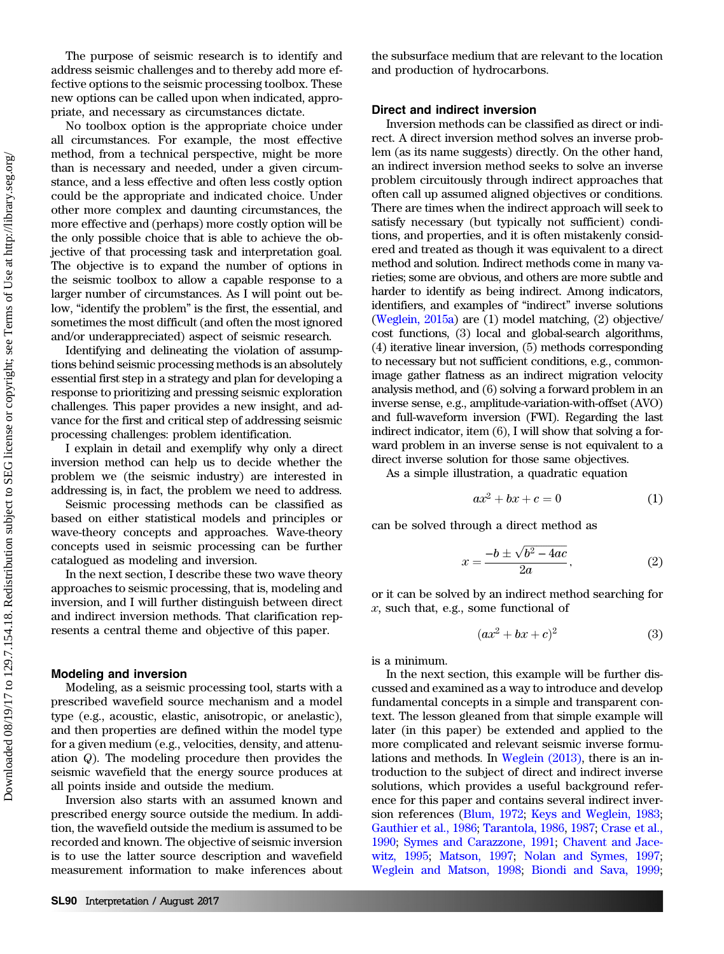<span id="page-1-0"></span>The purpose of seismic research is to identify and address seismic challenges and to thereby add more effective options to the seismic processing toolbox. These new options can be called upon when indicated, appropriate, and necessary as circumstances dictate.

No toolbox option is the appropriate choice under all circumstances. For example, the most effective method, from a technical perspective, might be more than is necessary and needed, under a given circumstance, and a less effective and often less costly option could be the appropriate and indicated choice. Under other more complex and daunting circumstances, the more effective and (perhaps) more costly option will be the only possible choice that is able to achieve the objective of that processing task and interpretation goal. The objective is to expand the number of options in the seismic toolbox to allow a capable response to a larger number of circumstances. As I will point out below, "identify the problem" is the first, the essential, and sometimes the most difficult (and often the most ignored and/or underappreciated) aspect of seismic research.

Identifying and delineating the violation of assumptions behind seismic processing methods is an absolutely essential first step in a strategy and plan for developing a response to prioritizing and pressing seismic exploration challenges. This paper provides a new insight, and advance for the first and critical step of addressing seismic processing challenges: problem identification.

I explain in detail and exemplify why only a direct inversion method can help us to decide whether the problem we (the seismic industry) are interested in addressing is, in fact, the problem we need to address.

Seismic processing methods can be classified as based on either statistical models and principles or wave-theory concepts and approaches. Wave-theory concepts used in seismic processing can be further catalogued as modeling and inversion.

In the next section, I describe these two wave theory approaches to seismic processing, that is, modeling and inversion, and I will further distinguish between direct and indirect inversion methods. That clarification represents a central theme and objective of this paper.

#### Modeling and inversion

Modeling, as a seismic processing tool, starts with a prescribed wavefield source mechanism and a model type (e.g., acoustic, elastic, anisotropic, or anelastic), and then properties are defined within the model type for a given medium (e.g., velocities, density, and attenuation Q). The modeling procedure then provides the seismic wavefield that the energy source produces at all points inside and outside the medium.

Inversion also starts with an assumed known and prescribed energy source outside the medium. In addition, the wavefield outside the medium is assumed to be recorded and known. The objective of seismic inversion is to use the latter source description and wavefield measurement information to make inferences about

the subsurface medium that are relevant to the location and production of hydrocarbons.

#### Direct and indirect inversion

Inversion methods can be classified as direct or indirect. A direct inversion method solves an inverse problem (as its name suggests) directly. On the other hand, an indirect inversion method seeks to solve an inverse problem circuitously through indirect approaches that often call up assumed aligned objectives or conditions. There are times when the indirect approach will seek to satisfy necessary (but typically not sufficient) conditions, and properties, and it is often mistakenly considered and treated as though it was equivalent to a direct method and solution. Indirect methods come in many varieties; some are obvious, and others are more subtle and harder to identify as being indirect. Among indicators, identifiers, and examples of "indirect" inverse solutions ([Weglein, 2015a](#page-18-0)) are (1) model matching, (2) objective/ cost functions, (3) local and global-search algorithms, (4) iterative linear inversion, (5) methods corresponding to necessary but not sufficient conditions, e.g., commonimage gather flatness as an indirect migration velocity analysis method, and (6) solving a forward problem in an inverse sense, e.g., amplitude-variation-with-offset (AVO) and full-waveform inversion (FWI). Regarding the last indirect indicator, item (6), I will show that solving a forward problem in an inverse sense is not equivalent to a direct inverse solution for those same objectives.

As a simple illustration, a quadratic equation

$$
ax^2 + bx + c = 0 \tag{1}
$$

can be solved through a direct method as

$$
x = \frac{-b \pm \sqrt{b^2 - 4ac}}{2a},\tag{2}
$$

or it can be solved by an indirect method searching for x, such that, e.g., some functional of

$$
(ax^2 + bx + c)^2 \tag{3}
$$

is a minimum.

In the next section, this example will be further discussed and examined as a way to introduce and develop fundamental concepts in a simple and transparent context. The lesson gleaned from that simple example will later (in this paper) be extended and applied to the more complicated and relevant seismic inverse formulations and methods. In [Weglein \(2013\)](#page-17-0), there is an introduction to the subject of direct and indirect inverse solutions, which provides a useful background reference for this paper and contains several indirect inversion references [\(Blum, 1972;](#page-15-0) [Keys and Weglein, 1983](#page-16-0); [Gauthier et al., 1986](#page-16-0); [Tarantola, 1986](#page-17-0), [1987](#page-17-0); [Crase et al.,](#page-16-0) [1990;](#page-16-0) [Symes and Carazzone, 1991](#page-17-0); [Chavent and Jace](#page-16-0)[witz, 1995;](#page-16-0) [Matson, 1997](#page-17-0); [Nolan and Symes, 1997;](#page-17-0) [Weglein and Matson, 1998;](#page-18-0) [Biondi and Sava, 1999](#page-15-0);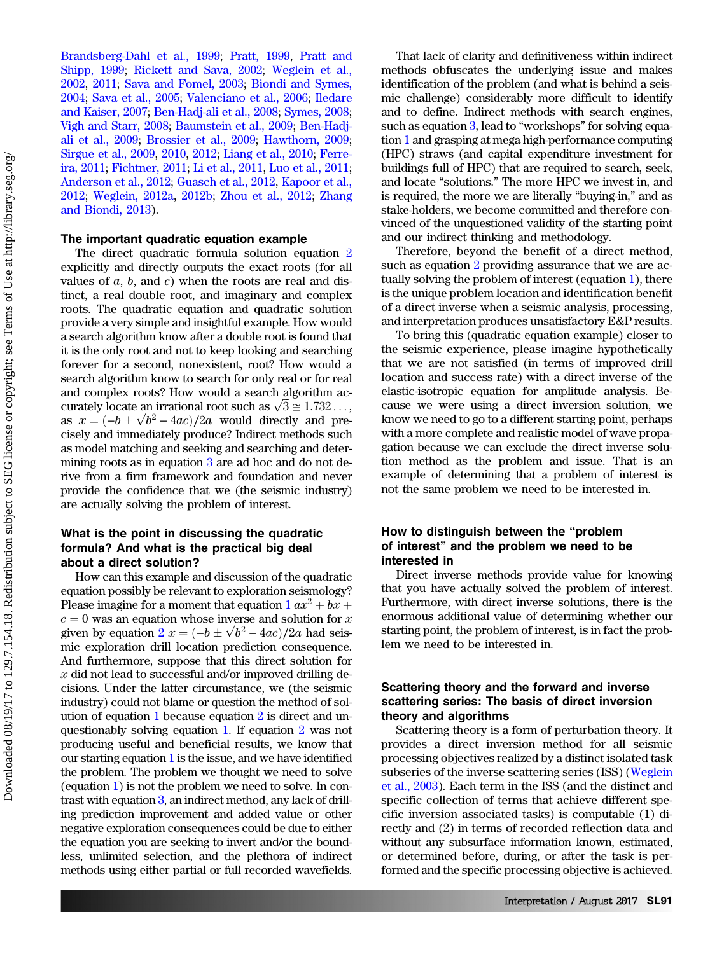[Brandsberg-Dahl et al., 1999;](#page-16-0) [Pratt, 1999](#page-17-0), [Pratt and](#page-17-0) [Shipp, 1999](#page-17-0); [Rickett and Sava, 2002](#page-17-0); [Weglein et al.,](#page-18-0) [2002,](#page-18-0) [2011](#page-18-0); [Sava and Fomel, 2003](#page-17-0); [Biondi and Symes,](#page-15-0) [2004;](#page-15-0) [Sava et al., 2005;](#page-17-0) [Valenciano et al., 2006;](#page-17-0) [Iledare](#page-16-0) [and Kaiser, 2007](#page-16-0); [Ben-Hadj-ali et al., 2008](#page-15-0); [Symes, 2008](#page-17-0); [Vigh and Starr, 2008](#page-17-0); [Baumstein et al., 2009](#page-15-0); [Ben-Hadj](#page-15-0)[ali et al., 2009;](#page-15-0) [Brossier et al., 2009;](#page-16-0) [Hawthorn, 2009](#page-16-0); [Sirgue et al., 2009](#page-17-0), [2010,](#page-17-0) [2012](#page-17-0); [Liang et al., 2010](#page-16-0); [Ferre](#page-16-0)[ira, 2011;](#page-16-0) [Fichtner, 2011;](#page-16-0) [Li et al., 2011,](#page-16-0) [Luo et al., 2011](#page-17-0); [Anderson et al., 2012](#page-15-0); [Guasch et al., 2012](#page-16-0), [Kapoor et al.,](#page-16-0) [2012;](#page-16-0) [Weglein, 2012a,](#page-17-0) [2012b;](#page-17-0) [Zhou et al., 2012;](#page-18-0) [Zhang](#page-18-0) [and Biondi, 2013\)](#page-18-0).

### The important quadratic equation example

The direct quadratic formula solution equation [2](#page-1-0) explicitly and directly outputs the exact roots (for all values of  $a, b,$  and  $c$ ) when the roots are real and distinct, a real double root, and imaginary and complex roots. The quadratic equation and quadratic solution provide a very simple and insightful example. How would a search algorithm know after a double root is found that it is the only root and not to keep looking and searching forever for a second, nonexistent, root? How would a search algorithm know to search for only real or for real and complex roots? How would a search algorithm accurately locate an irrational root such as  $\sqrt{3} \approx 1.732...$ , as  $x = (-b \pm \sqrt{b^2 - 4ac})/2a$  would directly and precisely and immediately produce? Indirect methods such as model matching and seeking and searching and determining roots as in equation [3](#page-1-0) are ad hoc and do not derive from a firm framework and foundation and never provide the confidence that we (the seismic industry) are actually solving the problem of interest.

### What is the point in discussing the quadratic formula? And what is the practical big deal about a direct solution?

How can this example and discussion of the quadratic equation possibly be relevant to exploration seismology? Please imagine for a moment that equation  $1 ax^2 + bx +$  $1 ax^2 + bx +$  $c = 0$  was an equation whose inverse and solution for x given by equation  $2 x = (-b \pm \sqrt{b^2 - 4ac})/2a$  $2 x = (-b \pm \sqrt{b^2 - 4ac})/2a$  had seismic exploration drill location prediction consequence. And furthermore, suppose that this direct solution for  $x$  did not lead to successful and/or improved drilling decisions. Under the latter circumstance, we (the seismic industry) could not blame or question the method of solution of equation [1](#page-1-0) because equation [2](#page-1-0) is direct and unquestionably solving equation [1.](#page-1-0) If equation [2](#page-1-0) was not producing useful and beneficial results, we know that our starting equation  $1$  is the issue, and we have identified the problem. The problem we thought we need to solve (equation [1](#page-1-0)) is not the problem we need to solve. In contrast with equation [3,](#page-1-0) an indirect method, any lack of drilling prediction improvement and added value or other negative exploration consequences could be due to either the equation you are seeking to invert and/or the boundless, unlimited selection, and the plethora of indirect methods using either partial or full recorded wavefields.

That lack of clarity and definitiveness within indirect methods obfuscates the underlying issue and makes identification of the problem (and what is behind a seismic challenge) considerably more difficult to identify and to define. Indirect methods with search engines, such as equation [3](#page-1-0), lead to "workshops" for solving equation [1](#page-1-0) and grasping at mega high-performance computing (HPC) straws (and capital expenditure investment for buildings full of HPC) that are required to search, seek, and locate "solutions." The more HPC we invest in, and is required, the more we are literally "buying-in," and as stake-holders, we become committed and therefore convinced of the unquestioned validity of the starting point and our indirect thinking and methodology.

Therefore, beyond the benefit of a direct method, such as equation [2](#page-1-0) providing assurance that we are actually solving the problem of interest (equation [1\)](#page-1-0), there is the unique problem location and identification benefit of a direct inverse when a seismic analysis, processing, and interpretation produces unsatisfactory E&P results.

To bring this (quadratic equation example) closer to the seismic experience, please imagine hypothetically that we are not satisfied (in terms of improved drill location and success rate) with a direct inverse of the elastic-isotropic equation for amplitude analysis. Because we were using a direct inversion solution, we know we need to go to a different starting point, perhaps with a more complete and realistic model of wave propagation because we can exclude the direct inverse solution method as the problem and issue. That is an example of determining that a problem of interest is not the same problem we need to be interested in.

# How to distinguish between the "problem of interest" and the problem we need to be interested in

Direct inverse methods provide value for knowing that you have actually solved the problem of interest. Furthermore, with direct inverse solutions, there is the enormous additional value of determining whether our starting point, the problem of interest, is in fact the problem we need to be interested in.

# Scattering theory and the forward and inverse scattering series: The basis of direct inversion theory and algorithms

Scattering theory is a form of perturbation theory. It provides a direct inversion method for all seismic processing objectives realized by a distinct isolated task subseries of the inverse scattering series (ISS) [\(Weglein](#page-18-0) [et al., 2003](#page-18-0)). Each term in the ISS (and the distinct and specific collection of terms that achieve different specific inversion associated tasks) is computable (1) directly and (2) in terms of recorded reflection data and without any subsurface information known, estimated, or determined before, during, or after the task is performed and the specific processing objective is achieved.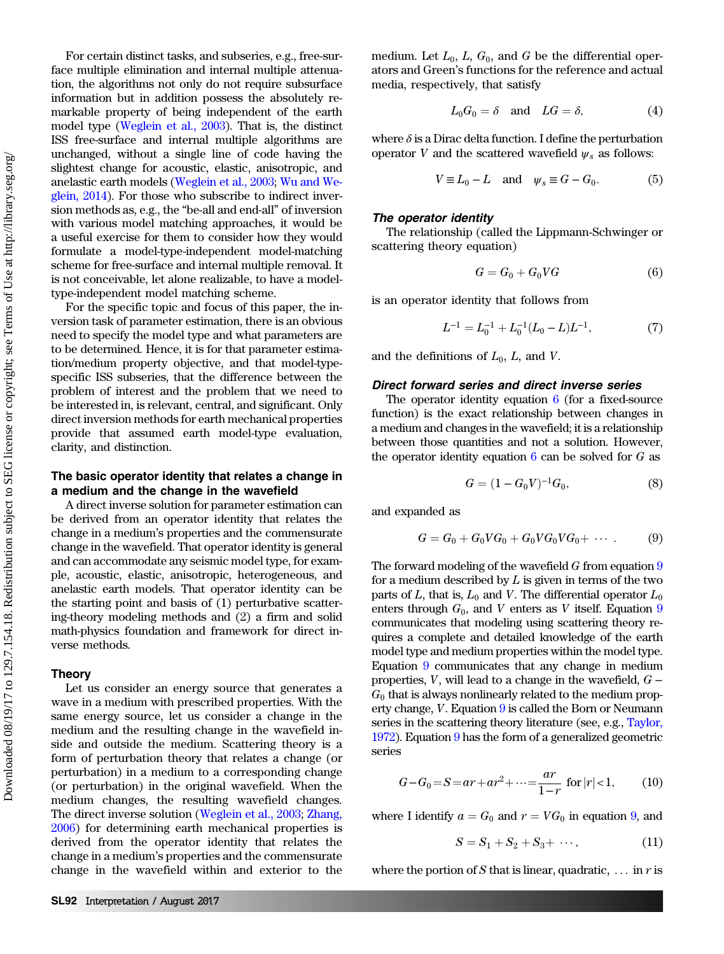<span id="page-3-0"></span>For certain distinct tasks, and subseries, e.g., free-surface multiple elimination and internal multiple attenuation, the algorithms not only do not require subsurface information but in addition possess the absolutely remarkable property of being independent of the earth model type ([Weglein et al., 2003\)](#page-18-0). That is, the distinct ISS free-surface and internal multiple algorithms are unchanged, without a single line of code having the slightest change for acoustic, elastic, anisotropic, and anelastic earth models [\(Weglein et al., 2003;](#page-18-0) [Wu and We](#page-18-0)[glein, 2014\)](#page-18-0). For those who subscribe to indirect inversion methods as, e.g., the "be-all and end-all" of inversion with various model matching approaches, it would be a useful exercise for them to consider how they would formulate a model-type-independent model-matching scheme for free-surface and internal multiple removal. It is not conceivable, let alone realizable, to have a modeltype-independent model matching scheme.

For the specific topic and focus of this paper, the inversion task of parameter estimation, there is an obvious need to specify the model type and what parameters are to be determined. Hence, it is for that parameter estimation/medium property objective, and that model-typespecific ISS subseries, that the difference between the problem of interest and the problem that we need to be interested in, is relevant, central, and significant. Only direct inversion methods for earth mechanical properties provide that assumed earth model-type evaluation, clarity, and distinction.

### The basic operator identity that relates a change in a medium and the change in the wavefield

A direct inverse solution for parameter estimation can be derived from an operator identity that relates the change in a medium's properties and the commensurate change in the wavefield. That operator identity is general and can accommodate any seismic model type, for example, acoustic, elastic, anisotropic, heterogeneous, and anelastic earth models. That operator identity can be the starting point and basis of (1) perturbative scattering-theory modeling methods and (2) a firm and solid math-physics foundation and framework for direct inverse methods.

#### Theory

Let us consider an energy source that generates a wave in a medium with prescribed properties. With the same energy source, let us consider a change in the medium and the resulting change in the wavefield inside and outside the medium. Scattering theory is a form of perturbation theory that relates a change (or perturbation) in a medium to a corresponding change (or perturbation) in the original wavefield. When the medium changes, the resulting wavefield changes. The direct inverse solution ([Weglein et al., 2003](#page-18-0); [Zhang,](#page-18-0) [2006\)](#page-18-0) for determining earth mechanical properties is derived from the operator identity that relates the change in a medium's properties and the commensurate change in the wavefield within and exterior to the medium. Let  $L_0$ ,  $L$ ,  $G_0$ , and G be the differential operators and Green's functions for the reference and actual media, respectively, that satisfy

$$
L_0 G_0 = \delta \quad \text{and} \quad LG = \delta,\tag{4}
$$

where  $\delta$  is a Dirac delta function. I define the perturbation operator V and the scattered wavefield  $\psi_s$  as follows:

$$
V \equiv L_0 - L \quad \text{and} \quad \psi_s \equiv G - G_0. \tag{5}
$$

#### The operator identity

The relationship (called the Lippmann-Schwinger or scattering theory equation)

$$
G = G_0 + G_0 V G \tag{6}
$$

is an operator identity that follows from

$$
L^{-1} = L_0^{-1} + L_0^{-1}(L_0 - L)L^{-1},
$$
\n(7)

and the definitions of  $L_0$ ,  $L$ , and  $V$ .

#### Direct forward series and direct inverse series

The operator identity equation  $6$  (for a fixed-source function) is the exact relationship between changes in a medium and changes in the wavefield; it is a relationship between those quantities and not a solution. However, the operator identity equation  $6$  can be solved for  $G$  as

$$
G = (1 - G_0 V)^{-1} G_0,
$$
 (8)

and expanded as

$$
G = G_0 + G_0 V G_0 + G_0 V G_0 V G_0 + \cdots \tag{9}
$$

The forward modeling of the wavefield  $G$  from equation  $9$ for a medium described by  $L$  is given in terms of the two parts of L, that is,  $L_0$  and V. The differential operator  $L_0$ enters through  $G_0$ , and V enters as V itself. Equation 9 communicates that modeling using scattering theory requires a complete and detailed knowledge of the earth model type and medium properties within the model type. Equation 9 communicates that any change in medium properties,  $V$ , will lead to a change in the wavefield,  $G G_0$  that is always nonlinearly related to the medium property change, V. Equation 9 is called the Born or Neumann series in the scattering theory literature (see, e.g., [Taylor,](#page-17-0) [1972](#page-17-0)). Equation 9 has the form of a generalized geometric series

$$
G - G_0 = S = ar + ar^2 + \dots = \frac{ar}{1 - r} \text{ for } |r| < 1,\qquad (10)
$$

where I identify  $a = G_0$  and  $r = VG_0$  in equation 9, and

$$
S = S_1 + S_2 + S_3 + \cdots, \tag{11}
$$

where the portion of S that is linear, quadratic,  $\ldots$  in r is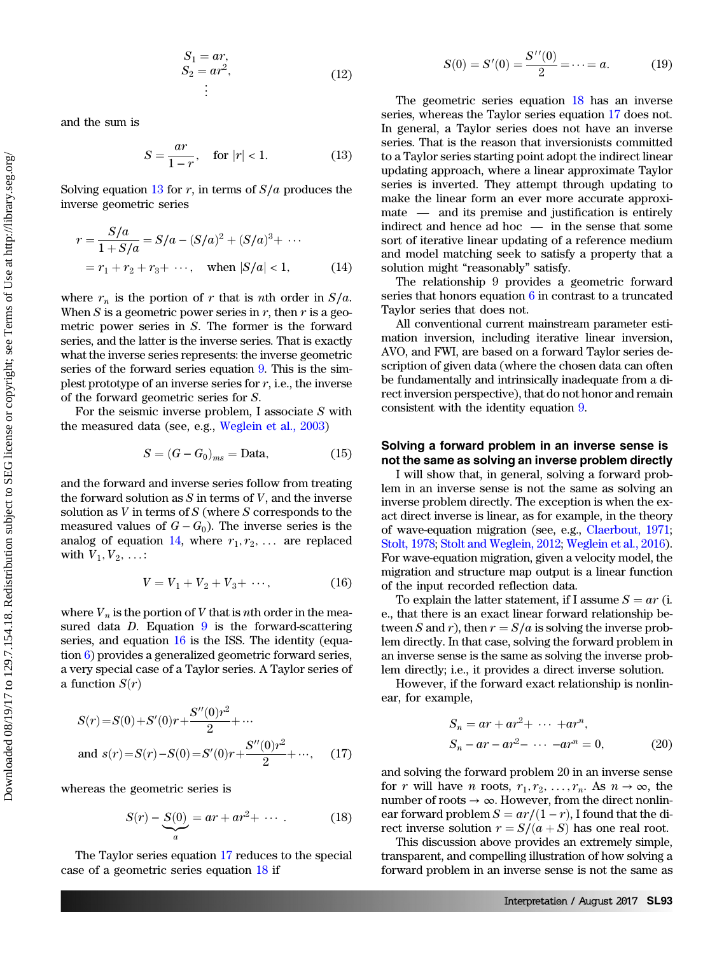$$
S_1 = ar,
$$
  
\n
$$
S_2 = ar^2,
$$
  
\n
$$
\vdots
$$
  
\n(12)

<span id="page-4-0"></span>and the sum is

$$
S = \frac{ar}{1 - r}, \quad \text{for } |r| < 1. \tag{13}
$$

Solving equation 13 for r, in terms of  $S/a$  produces the inverse geometric series

$$
r = \frac{S/a}{1 + S/a} = S/a - (S/a)^2 + (S/a)^3 + \cdots
$$
  
=  $r_1 + r_2 + r_3 + \cdots$ , when  $|S/a| < 1$ , (14)

where  $r_n$  is the portion of r that is nth order in  $S/a$ . When S is a geometric power series in  $r$ , then  $r$  is a geometric power series in S. The former is the forward series, and the latter is the inverse series. That is exactly what the inverse series represents: the inverse geometric series of the forward series equation [9.](#page-3-0) This is the simplest prototype of an inverse series for  $r$ , i.e., the inverse of the forward geometric series for S.

For the seismic inverse problem, I associate S with the measured data (see, e.g., [Weglein et al., 2003](#page-18-0))

$$
S = (G - G_0)_{ms} = \text{Data},\tag{15}
$$

and the forward and inverse series follow from treating the forward solution as  $S$  in terms of  $V$ , and the inverse solution as  $V$  in terms of  $S$  (where  $S$  corresponds to the measured values of  $G - G_0$ ). The inverse series is the analog of equation 14, where  $r_1, r_2, \ldots$  are replaced with  $V_1, V_2, \ldots$ :

$$
V = V_1 + V_2 + V_3 + \cdots, \tag{16}
$$

where  $V_n$  is the portion of V that is nth order in the measured data  $D$ . Equation  $9$  is the forward-scattering series, and equation  $16$  is the ISS. The identity (equation [6](#page-3-0)) provides a generalized geometric forward series, a very special case of a Taylor series. A Taylor series of a function  $S(r)$ 

$$
S(r) = S(0) + S'(0)r + \frac{S''(0)r^{2}}{2} + \cdots
$$
  
and 
$$
s(r) = S(r) - S(0) = S'(0)r + \frac{S''(0)r^{2}}{2} + \cdots,
$$
 (17)

whereas the geometric series is

$$
S(r) - S(0) = ar + ar^{2} + \cdots
$$
 (18)

The Taylor series equation 17 reduces to the special case of a geometric series equation 18 if

$$
S(0) = S'(0) = \frac{S''(0)}{2} = \dots = a.
$$
 (19)

The geometric series equation 18 has an inverse series, whereas the Taylor series equation 17 does not. In general, a Taylor series does not have an inverse series. That is the reason that inversionists committed to a Taylor series starting point adopt the indirect linear updating approach, where a linear approximate Taylor series is inverted. They attempt through updating to make the linear form an ever more accurate approximate — and its premise and justification is entirely indirect and hence ad hoc — in the sense that some sort of iterative linear updating of a reference medium and model matching seek to satisfy a property that a solution might "reasonably" satisfy.

The relationship 9 provides a geometric forward series that honors equation  $6$  in contrast to a truncated Taylor series that does not.

All conventional current mainstream parameter estimation inversion, including iterative linear inversion, AVO, and FWI, are based on a forward Taylor series description of given data (where the chosen data can often be fundamentally and intrinsically inadequate from a direct inversion perspective), that do not honor and remain consistent with the identity equation [9](#page-3-0).

### Solving a forward problem in an inverse sense is not the same as solving an inverse problem directly

I will show that, in general, solving a forward problem in an inverse sense is not the same as solving an inverse problem directly. The exception is when the exact direct inverse is linear, as for example, in the theory of wave-equation migration (see, e.g., [Claerbout, 1971](#page-16-0); [Stolt, 1978;](#page-17-0) [Stolt and Weglein, 2012](#page-17-0); [Weglein et al., 2016\)](#page-18-0). For wave-equation migration, given a velocity model, the migration and structure map output is a linear function of the input recorded reflection data.

To explain the latter statement, if I assume  $S = ar$  (i. e., that there is an exact linear forward relationship between S and r), then  $r = S/a$  is solving the inverse problem directly. In that case, solving the forward problem in an inverse sense is the same as solving the inverse problem directly; i.e., it provides a direct inverse solution.

However, if the forward exact relationship is nonlinear, for example,

$$
S_n = ar + ar2 + \cdots + arn,
$$
  
\n
$$
S_n - ar - ar2 - \cdots - arn = 0,
$$
 (20)

and solving the forward problem 20 in an inverse sense for r will have n roots,  $r_1, r_2, \ldots, r_n$ . As  $n \to \infty$ , the number of roots  $\rightarrow \infty$ . However, from the direct nonlinear forward problem  $S = ar/(1 - r)$ , I found that the direct inverse solution  $r = S/(a + S)$  has one real root.

This discussion above provides an extremely simple, transparent, and compelling illustration of how solving a forward problem in an inverse sense is not the same as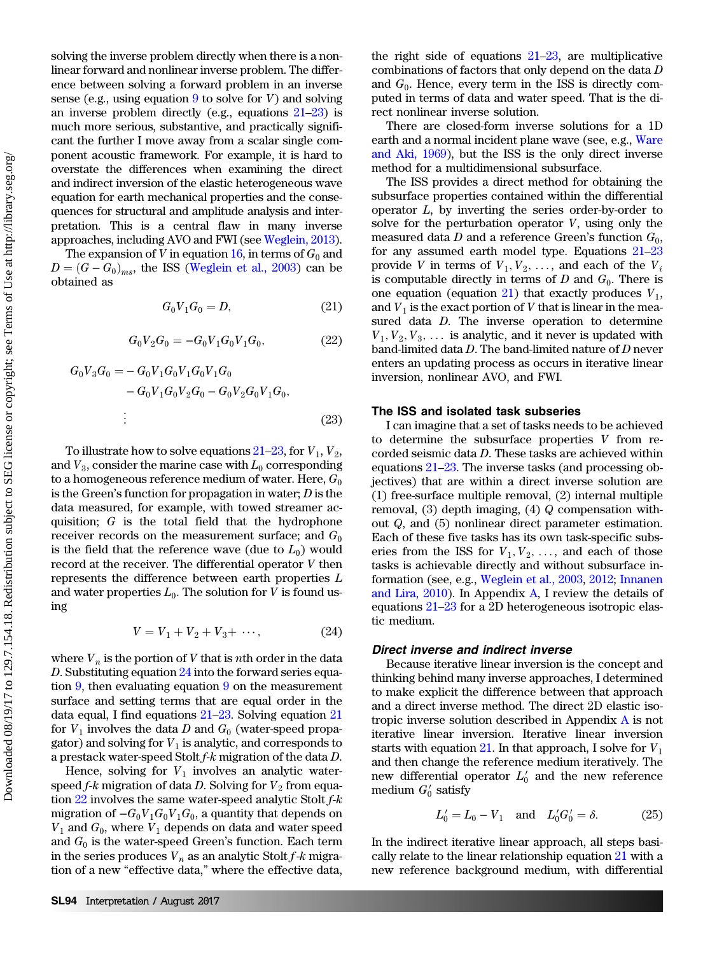<span id="page-5-0"></span>solving the inverse problem directly when there is a nonlinear forward and nonlinear inverse problem. The difference between solving a forward problem in an inverse sense (e.g., using equation  $9$  to solve for V) and solving an inverse problem directly (e.g., equations <sup>21</sup>–23) is much more serious, substantive, and practically significant the further I move away from a scalar single component acoustic framework. For example, it is hard to overstate the differences when examining the direct and indirect inversion of the elastic heterogeneous wave equation for earth mechanical properties and the consequences for structural and amplitude analysis and interpretation. This is a central flaw in many inverse approaches, including AVO and FWI (see [Weglein, 2013\)](#page-17-0).

The expansion of V in equation [16](#page-4-0), in terms of  $G_0$  and  $D = (G - G_0)_{ms}$ , the ISS ([Weglein et al., 2003](#page-18-0)) can be obtained as

$$
G_0 V_1 G_0 = D, \t\t(21)
$$

$$
G_0 V_2 G_0 = -G_0 V_1 G_0 V_1 G_0, \qquad (22)
$$

$$
G_0 V_3 G_0 = - G_0 V_1 G_0 V_1 G_0 V_1 G_0
$$
  

$$
- G_0 V_1 G_0 V_2 G_0 - G_0 V_2 G_0 V_1 G_0,
$$
  

$$
\vdots
$$
 (23)

To illustrate how to solve equations  $21-23$ , for  $V_1$ ,  $V_2$ , and  $V_3$ , consider the marine case with  $L_0$  corresponding to a homogeneous reference medium of water. Here,  $G_0$ is the Green's function for propagation in water;  $D$  is the data measured, for example, with towed streamer acquisition; G is the total field that the hydrophone receiver records on the measurement surface; and  $G_0$ is the field that the reference wave (due to  $L_0$ ) would record at the receiver. The differential operator V then represents the difference between earth properties L and water properties  $L_0$ . The solution for V is found using

$$
V = V_1 + V_2 + V_3 + \cdots, \tag{24}
$$

where  $V_n$  is the portion of V that is nth order in the data D. Substituting equation  $24$  into the forward series equation [9,](#page-3-0) then evaluating equation [9](#page-3-0) on the measurement surface and setting terms that are equal order in the data equal, I find equations <sup>21</sup>–23. Solving equation <sup>21</sup> for  $V_1$  involves the data D and  $G_0$  (water-speed propagator) and solving for  $V_1$  is analytic, and corresponds to a prestack water-speed Stolt  $f-k$  migration of the data  $D$ .

Hence, solving for  $V_1$  involves an analytic waterspeed  $f$ -k migration of data D. Solving for  $V_2$  from equation  $22$  involves the same water-speed analytic Stolt  $f$ - $k$ migration of  $-G_0V_1G_0V_1G_0$ , a quantity that depends on  $V_1$  and  $G_0$ , where  $V_1$  depends on data and water speed and  $G_0$  is the water-speed Green's function. Each term in the series produces  $V_n$  as an analytic Stolt  $f$ -k migration of a new "effective data," where the effective data, the right side of equations  $21-23$ , are multiplicative combinations of factors that only depend on the data  $D$ and  $G_0$ . Hence, every term in the ISS is directly computed in terms of data and water speed. That is the direct nonlinear inverse solution.

There are closed-form inverse solutions for a 1D earth and a normal incident plane wave (see, e.g., [Ware](#page-17-0) [and Aki, 1969](#page-17-0)), but the ISS is the only direct inverse method for a multidimensional subsurface.

The ISS provides a direct method for obtaining the subsurface properties contained within the differential operator  $L$ , by inverting the series order-by-order to solve for the perturbation operator  $V$ , using only the measured data D and a reference Green's function  $G_0$ , for any assumed earth model type. Equations <sup>21</sup>–<sup>23</sup> provide V in terms of  $V_1, V_2, \ldots$ , and each of the  $V_i$ is computable directly in terms of  $D$  and  $G_0$ . There is one equation (equation 21) that exactly produces  $V_1$ , and  $V_1$  is the exact portion of V that is linear in the measured data  $D$ . The inverse operation to determine  $V_1, V_2, V_3, \ldots$  is analytic, and it never is updated with band-limited data  $D$ . The band-limited nature of  $D$  never enters an updating process as occurs in iterative linear inversion, nonlinear AVO, and FWI.

#### The ISS and isolated task subseries

I can imagine that a set of tasks needs to be achieved to determine the subsurface properties V from recorded seismic data D. These tasks are achieved within equations <sup>21</sup>–23. The inverse tasks (and processing objectives) that are within a direct inverse solution are (1) free-surface multiple removal, (2) internal multiple removal,  $(3)$  depth imaging,  $(4)$  Q compensation without Q, and (5) nonlinear direct parameter estimation. Each of these five tasks has its own task-specific subseries from the ISS for  $V_1, V_2, \ldots$ , and each of those tasks is achievable directly and without subsurface information (see, e.g., [Weglein et al., 2003](#page-18-0), [2012](#page-18-0); [Innanen](#page-16-0) [and Lira, 2010](#page-16-0)). In Appendix [A](#page-11-0), I review the details of equations <sup>21</sup>–<sup>23</sup> for a 2D heterogeneous isotropic elastic medium.

#### Direct inverse and indirect inverse

Because iterative linear inversion is the concept and thinking behind many inverse approaches, I determined to make explicit the difference between that approach and a direct inverse method. The direct 2D elastic isotropic inverse solution described in Appendix [A](#page-11-0) is not iterative linear inversion. Iterative linear inversion starts with equation 21. In that approach, I solve for  $V_1$ and then change the reference medium iteratively. The new differential operator  $L_0'$  and the new reference medium  $G_0'$  satisfy

$$
L'_0 = L_0 - V_1
$$
 and  $L'_0 G'_0 = \delta$ . (25)

In the indirect iterative linear approach, all steps basically relate to the linear relationship equation 21 with a new reference background medium, with differential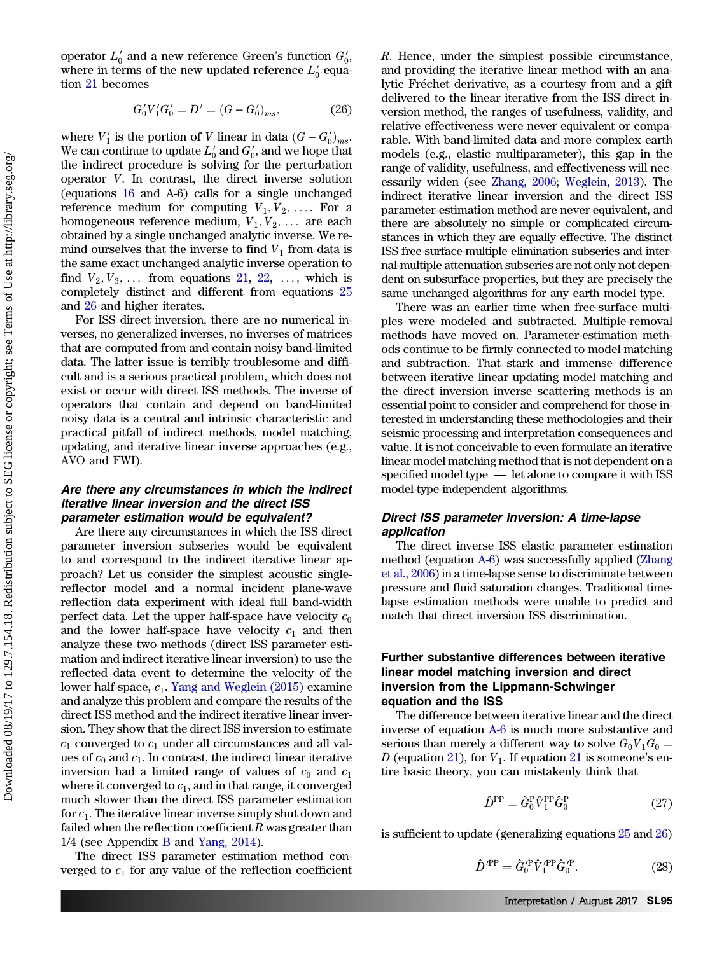<span id="page-6-0"></span>operator  $L'_0$  and a new reference Green's function  $G'_0$ , where in terms of the new updated reference  $L_0^\prime$  equation [21](#page-5-0) becomes

$$
G_0'V_1'G_0' = D' = (G - G_0')_{ms},\tag{26}
$$

where  $V_1'$  is the portion of V linear in data  $(G - G_0')_{ms}$ . We can continue to update  $L_0^\prime$  and  $G_0^\prime$ , and we hope that the indirect procedure is solving for the perturbation operator V. In contrast, the direct inverse solution (equations [16](#page-4-0) and A-6) calls for a single unchanged reference medium for computing  $V_1, V_2, \ldots$  For a homogeneous reference medium,  $V_1, V_2, \ldots$  are each obtained by a single unchanged analytic inverse. We remind ourselves that the inverse to find  $V_1$  from data is the same exact unchanged analytic inverse operation to find  $V_2, V_3, \ldots$  from equations [21](#page-5-0), [22](#page-5-0),  $\ldots$ , which is completely distinct and different from equations [25](#page-5-0) and 26 and higher iterates.

For ISS direct inversion, there are no numerical inverses, no generalized inverses, no inverses of matrices that are computed from and contain noisy band-limited data. The latter issue is terribly troublesome and difficult and is a serious practical problem, which does not exist or occur with direct ISS methods. The inverse of operators that contain and depend on band-limited noisy data is a central and intrinsic characteristic and practical pitfall of indirect methods, model matching, updating, and iterative linear inverse approaches (e.g., AVO and FWI).

### Are there any circumstances in which the indirect iterative linear inversion and the direct ISS parameter estimation would be equivalent?

Are there any circumstances in which the ISS direct parameter inversion subseries would be equivalent to and correspond to the indirect iterative linear approach? Let us consider the simplest acoustic singlereflector model and a normal incident plane-wave reflection data experiment with ideal full band-width perfect data. Let the upper half-space have velocity  $c_0$ and the lower half-space have velocity  $c_1$  and then analyze these two methods (direct ISS parameter estimation and indirect iterative linear inversion) to use the reflected data event to determine the velocity of the lower half-space,  $c_1$ . [Yang and Weglein \(2015\)](#page-18-0) examine and analyze this problem and compare the results of the direct ISS method and the indirect iterative linear inversion. They show that the direct ISS inversion to estimate  $c_1$  converged to  $c_1$  under all circumstances and all values of  $c_0$  and  $c_1$ . In contrast, the indirect linear iterative inversion had a limited range of values of  $c_0$  and  $c_1$ where it converged to  $c_1$ , and in that range, it converged much slower than the direct ISS parameter estimation for  $c_1$ . The iterative linear inverse simply shut down and failed when the reflection coefficient  $R$  was greater than 1/4 (see Appendix [B](#page-12-0) and [Yang, 2014](#page-18-0)).

The direct ISS parameter estimation method converged to  $c_1$  for any value of the reflection coefficient R. Hence, under the simplest possible circumstance, and providing the iterative linear method with an analytic Fréchet derivative, as a courtesy from and a gift delivered to the linear iterative from the ISS direct inversion method, the ranges of usefulness, validity, and relative effectiveness were never equivalent or comparable. With band-limited data and more complex earth models (e.g., elastic multiparameter), this gap in the range of validity, usefulness, and effectiveness will necessarily widen (see [Zhang, 2006;](#page-18-0) [Weglein, 2013\)](#page-17-0). The indirect iterative linear inversion and the direct ISS parameter-estimation method are never equivalent, and there are absolutely no simple or complicated circumstances in which they are equally effective. The distinct ISS free-surface-multiple elimination subseries and internal-multiple attenuation subseries are not only not dependent on subsurface properties, but they are precisely the same unchanged algorithms for any earth model type.

There was an earlier time when free-surface multiples were modeled and subtracted. Multiple-removal methods have moved on. Parameter-estimation methods continue to be firmly connected to model matching and subtraction. That stark and immense difference between iterative linear updating model matching and the direct inversion inverse scattering methods is an essential point to consider and comprehend for those interested in understanding these methodologies and their seismic processing and interpretation consequences and value. It is not conceivable to even formulate an iterative linear model matching method that is not dependent on a specified model type — let alone to compare it with ISS model-type-independent algorithms.

### Direct ISS parameter inversion: A time-lapse application

The direct inverse ISS elastic parameter estimation method (equation [A-6](#page-12-0)) was successfully applied ([Zhang](#page-18-0) [et al., 2006\)](#page-18-0) in a time-lapse sense to discriminate between pressure and fluid saturation changes. Traditional timelapse estimation methods were unable to predict and match that direct inversion ISS discrimination.

# Further substantive differences between iterative linear model matching inversion and direct inversion from the Lippmann-Schwinger equation and the ISS

The difference between iterative linear and the direct inverse of equation  $A-6$  is much more substantive and serious than merely a different way to solve  $G_0V_1G_0 =$ D (equation [21](#page-5-0)), for  $V_1$ . If equation 21 is someone's entire basic theory, you can mistakenly think that

$$
\hat{D}^{\rm PP} = \hat{G}_0^{\rm P} \hat{V}_1^{\rm PP} \hat{G}_0^{\rm P} \tag{27}
$$

is sufficient to update (generalizing equations [25](#page-5-0) and 26)

$$
\hat{D}^{\prime \text{PP}} = \hat{G}_0^{\prime \text{P}} \hat{V}_1^{\prime \text{PP}} \hat{G}_0^{\prime \text{P}}.
$$
 (28)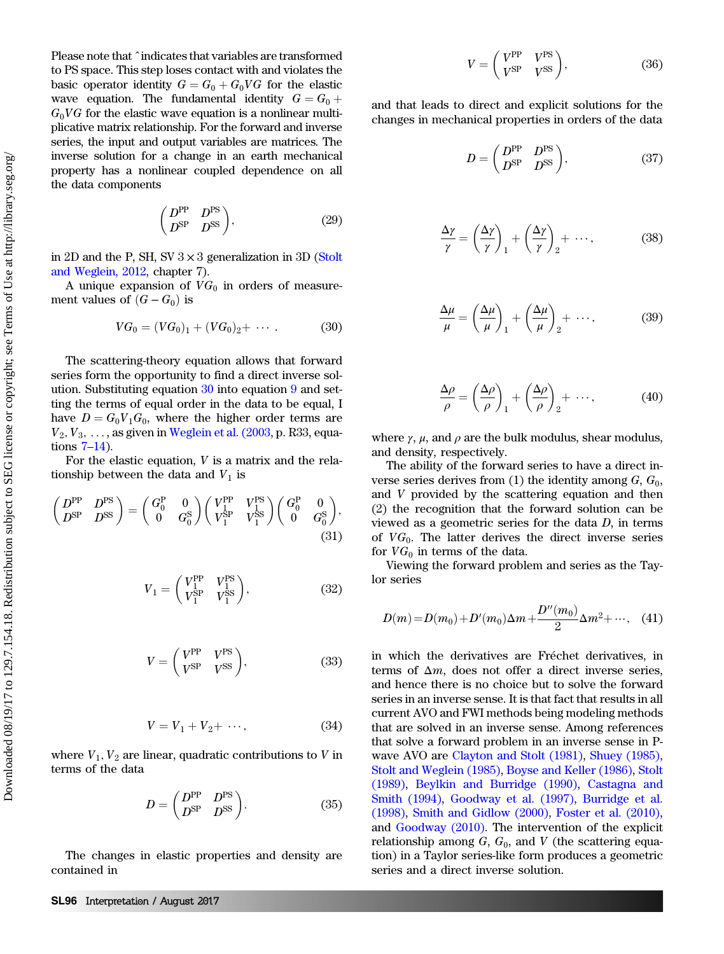Please note that ˆindicates that variables are transformed to PS space. This step loses contact with and violates the basic operator identity  $G = G_0 + G_0VG$  for the elastic wave equation. The fundamental identity  $G = G_0 +$  $G_0VG$  for the elastic wave equation is a nonlinear multiplicative matrix relationship. For the forward and inverse series, the input and output variables are matrices. The inverse solution for a change in an earth mechanical property has a nonlinear coupled dependence on all the data components

$$
\begin{pmatrix}\nD^{\rm PP} & D^{\rm PS} \\
D^{\rm SP} & D^{\rm SS}\n\end{pmatrix},\n\tag{29}
$$

in 2D and the P, SH, SV  $3 \times 3$  generalization in 3D [\(Stolt](#page-17-0) [and Weglein, 2012,](#page-17-0) chapter 7).

A unique expansion of  $VG_0$  in orders of measurement values of  $(G - G_0)$  is

$$
VG_0 = (VG_0)_1 + (VG_0)_2 + \cdots \t\t(30)
$$

The scattering-theory equation allows that forward series form the opportunity to find a direct inverse solution. Substituting equation  $30$  into equation  $9$  and setting the terms of equal order in the data to be equal, I have  $D = G_0V_1G_0$ , where the higher order terms are  $V_2, V_3, \ldots$ , as given in [Weglein et al. \(2003](#page-18-0), p. R33, equations [7](#page-3-0)–[14\)](#page-4-0).

For the elastic equation,  $V$  is a matrix and the relationship between the data and  $V_1$  is

$$
\begin{pmatrix}\nD^{\rm PP} & D^{\rm PS} \\
D^{\rm SP} & D^{\rm SS}\n\end{pmatrix} = \begin{pmatrix}\nG_0^{\rm P} & 0 \\
0 & G_0^{\rm S}\n\end{pmatrix} \begin{pmatrix}\nV_1^{\rm PP} & V_1^{\rm PS} \\
V_1^{\rm SP} & V_1^{\rm SS}\n\end{pmatrix} \begin{pmatrix}\nG_0^{\rm P} & 0 \\
0 & G_0^{\rm S}\n\end{pmatrix},
$$
\n(31)

$$
V_1 = \begin{pmatrix} V_1^{\rm PP} & V_1^{\rm PS} \\ V_1^{\rm SP} & V_1^{\rm SS} \\ \end{pmatrix}, \tag{32}
$$

$$
V = \begin{pmatrix} V^{\rm PP} & V^{\rm PS} \\ V^{\rm SP} & V^{\rm SS} \end{pmatrix},\tag{33}
$$

$$
V = V_1 + V_2 + \cdots,\tag{34}
$$

where  $V_1$ ,  $V_2$  are linear, quadratic contributions to V in terms of the data

$$
D = \begin{pmatrix} D^{\rm PP} & D^{\rm PS} \\ D^{\rm SP} & D^{\rm SS} \end{pmatrix}.
$$
 (35)

The changes in elastic properties and density are contained in

$$
V = \begin{pmatrix} V^{\rm PP} & V^{\rm PS} \\ V^{\rm SP} & V^{\rm SS} \end{pmatrix},\tag{36}
$$

and that leads to direct and explicit solutions for the changes in mechanical properties in orders of the data

$$
D = \begin{pmatrix} D^{\rm PP} & D^{\rm PS} \\ D^{\rm SP} & D^{\rm SS} \end{pmatrix},\tag{37}
$$

$$
\frac{\Delta \gamma}{\gamma} = \left(\frac{\Delta \gamma}{\gamma}\right)_1 + \left(\frac{\Delta \gamma}{\gamma}\right)_2 + \cdots, \tag{38}
$$

$$
\frac{\Delta \mu}{\mu} = \left(\frac{\Delta \mu}{\mu}\right)_1 + \left(\frac{\Delta \mu}{\mu}\right)_2 + \cdots,
$$
 (39)

$$
\frac{\Delta \rho}{\rho} = \left(\frac{\Delta \rho}{\rho}\right)_1 + \left(\frac{\Delta \rho}{\rho}\right)_2 + \cdots,
$$
 (40)

where  $\gamma$ ,  $\mu$ , and  $\rho$  are the bulk modulus, shear modulus, and density, respectively.

The ability of the forward series to have a direct inverse series derives from (1) the identity among  $G, G_0$ , and V provided by the scattering equation and then (2) the recognition that the forward solution can be viewed as a geometric series for the data  $D$ , in terms of  $VG_0$ . The latter derives the direct inverse series for  $VG_0$  in terms of the data.

Viewing the forward problem and series as the Taylor series

$$
D(m) = D(m_0) + D'(m_0)\Delta m + \frac{D''(m_0)}{2}\Delta m^2 + \cdots, \quad (41)
$$

in which the derivatives are Fréchet derivatives, in terms of  $\Delta m$ , does not offer a direct inverse series, and hence there is no choice but to solve the forward series in an inverse sense. It is that fact that results in all current AVO and FWI methods being modeling methods that are solved in an inverse sense. Among references that solve a forward problem in an inverse sense in Pwave AVO are [Clayton and Stolt \(1981\)](#page-16-0), [Shuey \(1985\),](#page-17-0) [Stolt and Weglein \(1985\),](#page-17-0) [Boyse and Keller \(1986\),](#page-16-0) [Stolt](#page-17-0) [\(1989\),](#page-17-0) [Beylkin and Burridge \(1990\),](#page-15-0) [Castagna and](#page-16-0) [Smith \(1994\)](#page-16-0), [Goodway et al. \(1997\)](#page-16-0), [Burridge et al.](#page-16-0) [\(1998\),](#page-16-0) [Smith and Gidlow \(2000\)](#page-17-0), [Foster et al. \(2010\)](#page-16-0), and [Goodway \(2010\).](#page-16-0) The intervention of the explicit relationship among  $G$ ,  $G_0$ , and  $V$  (the scattering equation) in a Taylor series-like form produces a geometric series and a direct inverse solution.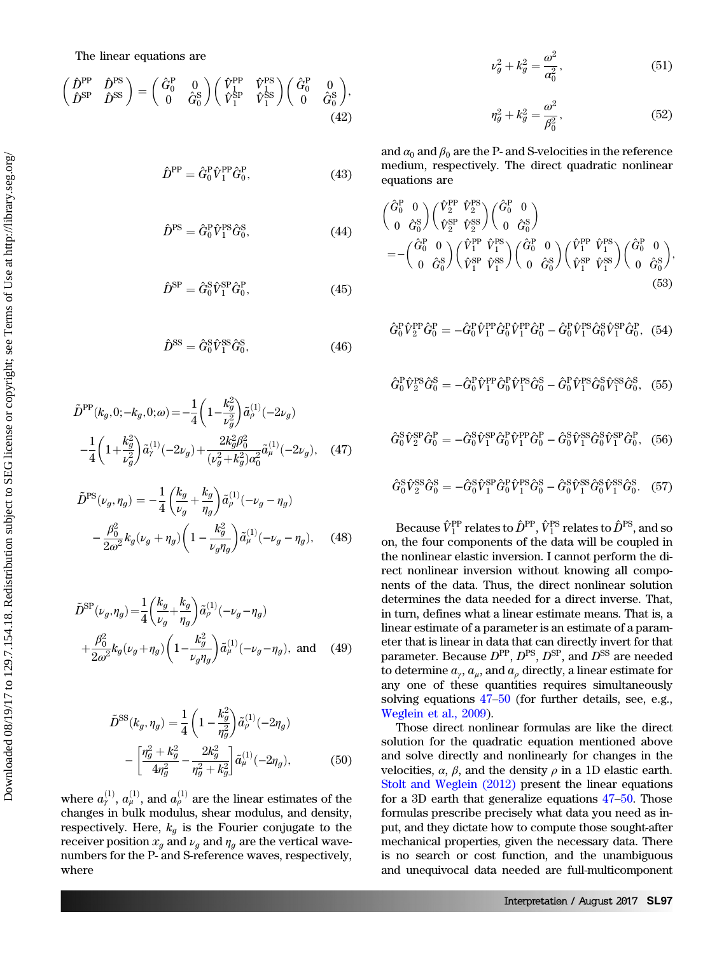The linear equations are

$$
\begin{pmatrix}\n\hat{D}^{\text{PP}} & \hat{D}^{\text{PS}} \\
\hat{D}^{\text{SP}} & \hat{D}^{\text{SS}}\n\end{pmatrix} = \begin{pmatrix}\n\hat{G}_0^{\text{P}} & 0 \\
0 & \hat{G}_0^{\text{S}}\n\end{pmatrix} \begin{pmatrix}\n\hat{V}_1^{\text{PP}} & \hat{V}_1^{\text{PS}} \\
\hat{V}_1^{\text{SP}} & \hat{V}_2^{\text{SS}}\n\end{pmatrix} \begin{pmatrix}\n\hat{G}_0^{\text{P}} & 0 \\
0 & \hat{G}_0^{\text{S}}\n\end{pmatrix},
$$
\n(42)

$$
\hat{D}^{\rm PP} = \hat{G}_0^{\rm P} \hat{V}_1^{\rm PP} \hat{G}_0^{\rm P},\tag{43}
$$

$$
\hat{D}^{\rm PS} = \hat{G}_0^{\rm P} \hat{V}_1^{\rm PS} \hat{G}_0^{\rm S},\tag{44}
$$

$$
\hat{D}^{\rm SP} = \hat{G}_0^{\rm S} \hat{V}_1^{\rm SP} \hat{G}_0^{\rm P},\tag{45}
$$

$$
\hat{D}^{\rm{SS}} = \hat{G}_0^{\rm{S}} \hat{V}_1^{\rm{SS}} \hat{G}_0^{\rm{S}},\tag{46}
$$

$$
\tilde{D}^{\text{PP}}(k_g, 0; -k_g, 0; \omega) = -\frac{1}{4} \left( 1 - \frac{k_g^2}{\nu_g^2} \right) \tilde{a}_{\rho}^{(1)}(-2\nu_g) \n- \frac{1}{4} \left( 1 + \frac{k_g^2}{\nu_g^2} \right) \tilde{a}_{\gamma}^{(1)}(-2\nu_g) + \frac{2k_g^2 \beta_0^2}{(\nu_g^2 + k_g^2) \alpha_0^2} \tilde{a}_{\mu}^{(1)}(-2\nu_g), \quad (47)
$$

$$
\tilde{D}^{\text{PS}}(\nu_g, \eta_g) = -\frac{1}{4} \left( \frac{k_g}{\nu_g} + \frac{k_g}{\eta_g} \right) \tilde{a}_{\rho}^{(1)}(-\nu_g - \eta_g) \n- \frac{\beta_0^2}{2\omega^2} k_g(\nu_g + \eta_g) \left( 1 - \frac{k_g^2}{\nu_g \eta_g} \right) \tilde{a}_{\mu}^{(1)}(-\nu_g - \eta_g), \quad (48)
$$

$$
\tilde{D}^{\rm SP}(\nu_g, \eta_g) = \frac{1}{4} \left( \frac{k_g}{\nu_g} + \frac{k_g}{\eta_g} \right) \tilde{a}_{\rho}^{(1)}(-\nu_g - \eta_g) \n+ \frac{\rho_0^2}{2\omega^2} k_g(\nu_g + \eta_g) \left( 1 - \frac{k_g^2}{\nu_g \eta_g} \right) \tilde{a}_{\mu}^{(1)}(-\nu_g - \eta_g), \text{ and } (49)
$$

$$
\tilde{D}^{SS}(k_g, \eta_g) = \frac{1}{4} \left( 1 - \frac{k_g^2}{\eta_g^2} \right) \tilde{a}_{\rho}^{(1)}(-2\eta_g) \n- \left[ \frac{\eta_g^2 + k_g^2}{4\eta_g^2} - \frac{2k_g^2}{\eta_g^2 + k_g^2} \right] \tilde{a}_{\mu}^{(1)}(-2\eta_g),
$$
\n(50)

where  $a^{(1)}_{\gamma},$   $a^{(1)}_{\mu},$  and  $a^{(1)}_{\rho}$  are the linear estimates of the changes in bulk modulus, shear modulus, and density, respectively. Here,  $k_q$  is the Fourier conjugate to the receiver position  $x_g$  and  $\nu_g$  and  $\eta_g$  are the vertical wavenumbers for the P- and S-reference waves, respectively, where

$$
\nu_g^2 + k_g^2 = \frac{\omega^2}{\alpha_0^2},\tag{51}
$$

$$
\eta_g^2 + k_g^2 = \frac{\omega^2}{\beta_0^2},\tag{52}
$$

and  $\alpha_0$  and  $\beta_0$  are the P- and S-velocities in the reference medium, respectively. The direct quadratic nonlinear equations are

$$
\begin{aligned} &\binom{\hat{G}_{0}^{P}}{0} \left(\begin{matrix}\hat{V}_{2}^{PP} & \hat{V}_{2}^{PS} \\ 0 & \hat{G}_{0}^{S}\end{matrix}\right) \binom{\hat{V}_{2}^{PP}}{\hat{V}_{2}^{SP}} \binom{\hat{V}_{2}^{PS}}{0} \binom{\hat{G}_{0}^{P}}{0} \\ &= -\binom{\hat{G}_{0}^{P}}{0} \left(\begin{matrix}\hat{V}_{1}^{PP} & \hat{V}_{1}^{PS} \\ 0 & \hat{G}_{0}^{S}\end{matrix}\right) \binom{\hat{V}_{1}^{PP}}{\hat{V}_{1}^{SP}} \binom{\hat{G}_{0}^{P}}{0} \binom{\hat{G}_{0}^{P}}{0} \binom{\hat{V}_{1}^{PP}}{\hat{V}_{1}^{SP}} \binom{\hat{G}_{0}^{P}}{0} \binom{\hat{G}_{0}^{P}}{0} \end{aligned} \tag{53}
$$

$$
\hat{G}_0^P \hat{V}_2^{PP} \hat{G}_0^P = -\hat{G}_0^P \hat{V}_1^{PP} \hat{G}_0^P \hat{V}_1^{PP} \hat{G}_0^P - \hat{G}_0^P \hat{V}_1^{PS} \hat{G}_0^S \hat{V}_1^{SP} \hat{G}_0^P, (54)
$$

$$
\hat{G}_0^{\rm P} \hat{V}_2^{\rm PS} \hat{G}_0^{\rm S} = -\hat{G}_0^{\rm P} \hat{V}_1^{\rm PP} \hat{G}_0^{\rm P} \hat{V}_1^{\rm PS} \hat{G}_0^{\rm S} - \hat{G}_0^{\rm P} \hat{V}_1^{\rm PS} \hat{G}_0^{\rm S} \hat{V}_1^{\rm SS} \hat{G}_0^{\rm S}, \tag{55}
$$

$$
\hat{G}_0^{\rm S} \hat{V}_2^{\rm SP} \hat{G}_0^{\rm P} = -\hat{G}_0^{\rm S} \hat{V}_1^{\rm SP} \hat{G}_0^{\rm P} \hat{V}_1^{\rm PP} \hat{G}_0^{\rm P} - \hat{G}_0^{\rm S} \hat{V}_1^{\rm SS} \hat{G}_0^{\rm S} \hat{V}_1^{\rm SP} \hat{G}_0^{\rm P}, \quad (56)
$$

$$
\hat{G}_0^{\rm S}\hat{V}_2^{\rm SS}\hat{G}_0^{\rm S} = -\hat{G}_0^{\rm S}\hat{V}_1^{\rm SP}\hat{G}_0^{\rm P}\hat{V}_1^{\rm PS}\hat{G}_0^{\rm S} - \hat{G}_0^{\rm S}\hat{V}_1^{\rm SS}\hat{G}_0^{\rm S}\hat{V}_1^{\rm SS}\hat{G}_0^{\rm S}.
$$
 (57)

Because  $\hat{V}^{\mathrm{PP}}_{1}$  relates to  $\hat{D}^{\mathrm{PP}}, \hat{V}^{\mathrm{PS}}_{1}$  relates to  $\hat{D}^{\mathrm{PS}},$  and so on, the four components of the data will be coupled in the nonlinear elastic inversion. I cannot perform the direct nonlinear inversion without knowing all components of the data. Thus, the direct nonlinear solution determines the data needed for a direct inverse. That, in turn, defines what a linear estimate means. That is, a linear estimate of a parameter is an estimate of a parameter that is linear in data that can directly invert for that parameter. Because  $D^{PP}$ ,  $D^{PS}$ ,  $D^{SP}$ , and  $D^{SS}$  are needed to determine  $a_{\gamma}$ ,  $a_{\mu}$ , and  $a_{\rho}$  directly, a linear estimate for any one of these quantities requires simultaneously solving equations <sup>47</sup>–<sup>50</sup> (for further details, see, e.g., [Weglein et al., 2009\)](#page-18-0).

Those direct nonlinear formulas are like the direct solution for the quadratic equation mentioned above and solve directly and nonlinearly for changes in the velocities,  $\alpha$ ,  $\beta$ , and the density  $\rho$  in a 1D elastic earth. [Stolt and Weglein \(2012\)](#page-17-0) present the linear equations for a 3D earth that generalize equations  $47-50$ . Those formulas prescribe precisely what data you need as input, and they dictate how to compute those sought-after mechanical properties, given the necessary data. There is no search or cost function, and the unambiguous and unequivocal data needed are full-multicomponent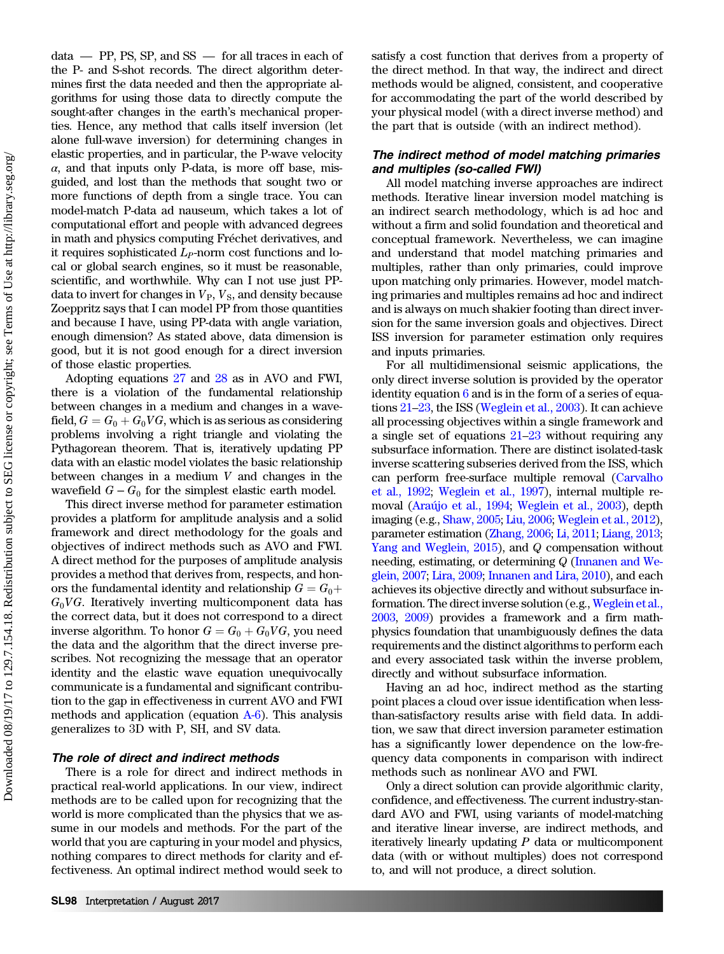$data$  — PP, PS, SP, and SS — for all traces in each of the P- and S-shot records. The direct algorithm determines first the data needed and then the appropriate algorithms for using those data to directly compute the sought-after changes in the earth's mechanical properties. Hence, any method that calls itself inversion (let alone full-wave inversion) for determining changes in elastic properties, and in particular, the P-wave velocity  $\alpha$ , and that inputs only P-data, is more off base, misguided, and lost than the methods that sought two or more functions of depth from a single trace. You can model-match P-data ad nauseum, which takes a lot of computational effort and people with advanced degrees in math and physics computing Fréchet derivatives, and it requires sophisticated  $L_p$ -norm cost functions and local or global search engines, so it must be reasonable, scientific, and worthwhile. Why can I not use just PPdata to invert for changes in  $V_{\rm P}$ ,  $V_{\rm S}$ , and density because Zoeppritz says that I can model PP from those quantities and because I have, using PP-data with angle variation, enough dimension? As stated above, data dimension is good, but it is not good enough for a direct inversion of those elastic properties.

Adopting equations [27](#page-6-0) and [28](#page-6-0) as in AVO and FWI, there is a violation of the fundamental relationship between changes in a medium and changes in a wavefield,  $G = G_0 + G_0VG$ , which is as serious as considering problems involving a right triangle and violating the Pythagorean theorem. That is, iteratively updating PP data with an elastic model violates the basic relationship between changes in a medium  $V$  and changes in the wavefield  $G - G_0$  for the simplest elastic earth model.

This direct inverse method for parameter estimation provides a platform for amplitude analysis and a solid framework and direct methodology for the goals and objectives of indirect methods such as AVO and FWI. A direct method for the purposes of amplitude analysis provides a method that derives from, respects, and honors the fundamental identity and relationship  $G = G_0 +$  $G_0VG$ . Iteratively inverting multicomponent data has the correct data, but it does not correspond to a direct inverse algorithm. To honor  $G = G_0 + G_0VG$ , you need the data and the algorithm that the direct inverse prescribes. Not recognizing the message that an operator identity and the elastic wave equation unequivocally communicate is a fundamental and significant contribution to the gap in effectiveness in current AVO and FWI methods and application (equation  $A-6$ ). This analysis generalizes to 3D with P, SH, and SV data.

### The role of direct and indirect methods

There is a role for direct and indirect methods in practical real-world applications. In our view, indirect methods are to be called upon for recognizing that the world is more complicated than the physics that we assume in our models and methods. For the part of the world that you are capturing in your model and physics, nothing compares to direct methods for clarity and effectiveness. An optimal indirect method would seek to satisfy a cost function that derives from a property of the direct method. In that way, the indirect and direct methods would be aligned, consistent, and cooperative for accommodating the part of the world described by your physical model (with a direct inverse method) and the part that is outside (with an indirect method).

### The indirect method of model matching primaries and multiples (so-called FWI)

All model matching inverse approaches are indirect methods. Iterative linear inversion model matching is an indirect search methodology, which is ad hoc and without a firm and solid foundation and theoretical and conceptual framework. Nevertheless, we can imagine and understand that model matching primaries and multiples, rather than only primaries, could improve upon matching only primaries. However, model matching primaries and multiples remains ad hoc and indirect and is always on much shakier footing than direct inversion for the same inversion goals and objectives. Direct ISS inversion for parameter estimation only requires and inputs primaries.

For all multidimensional seismic applications, the only direct inverse solution is provided by the operator identity equation  $6$  and is in the form of a series of equations [21](#page-5-0)–[23](#page-5-0), the ISS [\(Weglein et al., 2003](#page-18-0)). It can achieve all processing objectives within a single framework and a single set of equations [21](#page-5-0)–[23](#page-5-0) without requiring any subsurface information. There are distinct isolated-task inverse scattering subseries derived from the ISS, which can perform free-surface multiple removal [\(Carvalho](#page-16-0) [et al., 1992](#page-16-0); [Weglein et al., 1997](#page-18-0)), internal multiple removal [\(Araújo et al., 1994](#page-15-0); [Weglein et al., 2003\)](#page-18-0), depth imaging (e.g., [Shaw, 2005;](#page-17-0) [Liu, 2006;](#page-17-0) [Weglein et al., 2012\)](#page-18-0), parameter estimation ([Zhang, 2006;](#page-18-0) [Li, 2011](#page-16-0); [Liang, 2013;](#page-16-0) [Yang and Weglein, 2015](#page-18-0)), and Q compensation without needing, estimating, or determining Q [\(Innanen and We](#page-16-0)[glein, 2007;](#page-16-0) [Lira, 2009;](#page-16-0) [Innanen and Lira, 2010\)](#page-16-0), and each achieves its objective directly and without subsurface information. The direct inverse solution (e.g., [Weglein et al.,](#page-18-0) [2003](#page-18-0), [2009\)](#page-18-0) provides a framework and a firm mathphysics foundation that unambiguously defines the data requirements and the distinct algorithms to perform each and every associated task within the inverse problem, directly and without subsurface information.

Having an ad hoc, indirect method as the starting point places a cloud over issue identification when lessthan-satisfactory results arise with field data. In addition, we saw that direct inversion parameter estimation has a significantly lower dependence on the low-frequency data components in comparison with indirect methods such as nonlinear AVO and FWI.

Only a direct solution can provide algorithmic clarity, confidence, and effectiveness. The current industry-standard AVO and FWI, using variants of model-matching and iterative linear inverse, are indirect methods, and iteratively linearly updating P data or multicomponent data (with or without multiples) does not correspond to, and will not produce, a direct solution.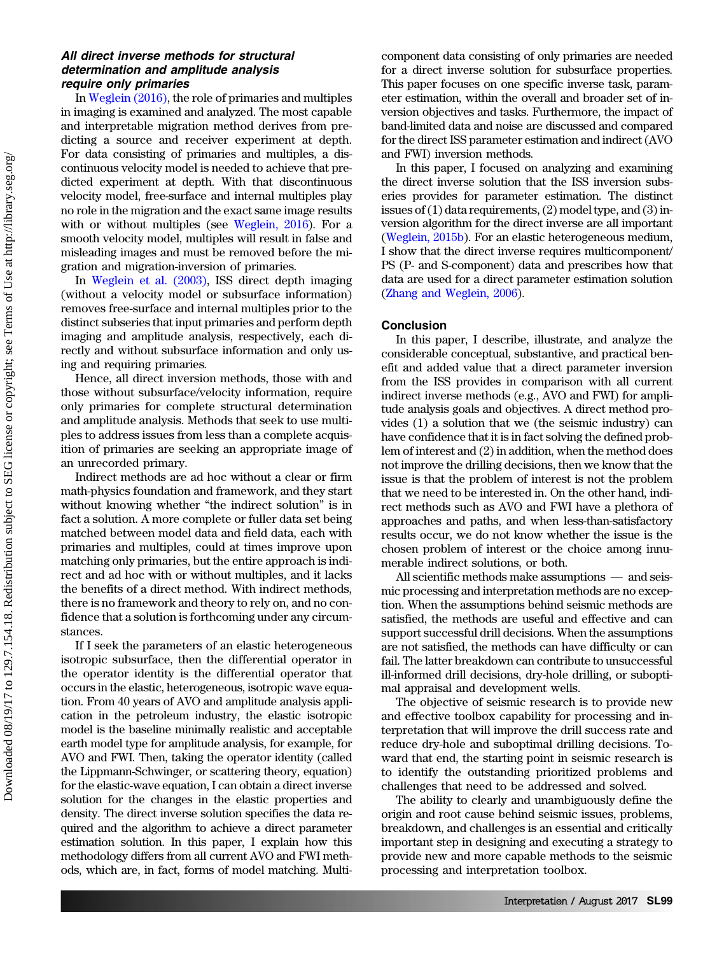#### All direct inverse methods for structural determination and amplitude analysis require only primaries

In [Weglein \(2016\)](#page-18-0), the role of primaries and multiples in imaging is examined and analyzed. The most capable and interpretable migration method derives from predicting a source and receiver experiment at depth. For data consisting of primaries and multiples, a discontinuous velocity model is needed to achieve that predicted experiment at depth. With that discontinuous velocity model, free-surface and internal multiples play no role in the migration and the exact same image results with or without multiples (see [Weglein, 2016\)](#page-18-0). For a smooth velocity model, multiples will result in false and misleading images and must be removed before the migration and migration-inversion of primaries.

In [Weglein et al. \(2003\),](#page-18-0) ISS direct depth imaging (without a velocity model or subsurface information) removes free-surface and internal multiples prior to the distinct subseries that input primaries and perform depth imaging and amplitude analysis, respectively, each directly and without subsurface information and only using and requiring primaries.

Hence, all direct inversion methods, those with and those without subsurface/velocity information, require only primaries for complete structural determination and amplitude analysis. Methods that seek to use multiples to address issues from less than a complete acquisition of primaries are seeking an appropriate image of an unrecorded primary.

Indirect methods are ad hoc without a clear or firm math-physics foundation and framework, and they start without knowing whether "the indirect solution" is in fact a solution. A more complete or fuller data set being matched between model data and field data, each with primaries and multiples, could at times improve upon matching only primaries, but the entire approach is indirect and ad hoc with or without multiples, and it lacks the benefits of a direct method. With indirect methods, there is no framework and theory to rely on, and no confidence that a solution is forthcoming under any circumstances.

If I seek the parameters of an elastic heterogeneous isotropic subsurface, then the differential operator in the operator identity is the differential operator that occurs in the elastic, heterogeneous, isotropic wave equation. From 40 years of AVO and amplitude analysis application in the petroleum industry, the elastic isotropic model is the baseline minimally realistic and acceptable earth model type for amplitude analysis, for example, for AVO and FWI. Then, taking the operator identity (called the Lippmann-Schwinger, or scattering theory, equation) for the elastic-wave equation, I can obtain a direct inverse solution for the changes in the elastic properties and density. The direct inverse solution specifies the data required and the algorithm to achieve a direct parameter estimation solution. In this paper, I explain how this methodology differs from all current AVO and FWI methods, which are, in fact, forms of model matching. Multicomponent data consisting of only primaries are needed for a direct inverse solution for subsurface properties. This paper focuses on one specific inverse task, parameter estimation, within the overall and broader set of inversion objectives and tasks. Furthermore, the impact of band-limited data and noise are discussed and compared for the direct ISS parameter estimation and indirect (AVO and FWI) inversion methods.

In this paper, I focused on analyzing and examining the direct inverse solution that the ISS inversion subseries provides for parameter estimation. The distinct issues of (1) data requirements, (2) model type, and (3) inversion algorithm for the direct inverse are all important ([Weglein, 2015b](#page-18-0)). For an elastic heterogeneous medium, I show that the direct inverse requires multicomponent/ PS (P- and S-component) data and prescribes how that data are used for a direct parameter estimation solution ([Zhang and Weglein, 2006](#page-18-0)).

#### Conclusion

In this paper, I describe, illustrate, and analyze the considerable conceptual, substantive, and practical benefit and added value that a direct parameter inversion from the ISS provides in comparison with all current indirect inverse methods (e.g., AVO and FWI) for amplitude analysis goals and objectives. A direct method provides (1) a solution that we (the seismic industry) can have confidence that it is in fact solving the defined problem of interest and (2) in addition, when the method does not improve the drilling decisions, then we know that the issue is that the problem of interest is not the problem that we need to be interested in. On the other hand, indirect methods such as AVO and FWI have a plethora of approaches and paths, and when less-than-satisfactory results occur, we do not know whether the issue is the chosen problem of interest or the choice among innumerable indirect solutions, or both.

All scientific methods make assumptions — and seismic processing and interpretation methods are no exception. When the assumptions behind seismic methods are satisfied, the methods are useful and effective and can support successful drill decisions. When the assumptions are not satisfied, the methods can have difficulty or can fail. The latter breakdown can contribute to unsuccessful ill-informed drill decisions, dry-hole drilling, or suboptimal appraisal and development wells.

The objective of seismic research is to provide new and effective toolbox capability for processing and interpretation that will improve the drill success rate and reduce dry-hole and suboptimal drilling decisions. Toward that end, the starting point in seismic research is to identify the outstanding prioritized problems and challenges that need to be addressed and solved.

The ability to clearly and unambiguously define the origin and root cause behind seismic issues, problems, breakdown, and challenges is an essential and critically important step in designing and executing a strategy to provide new and more capable methods to the seismic processing and interpretation toolbox.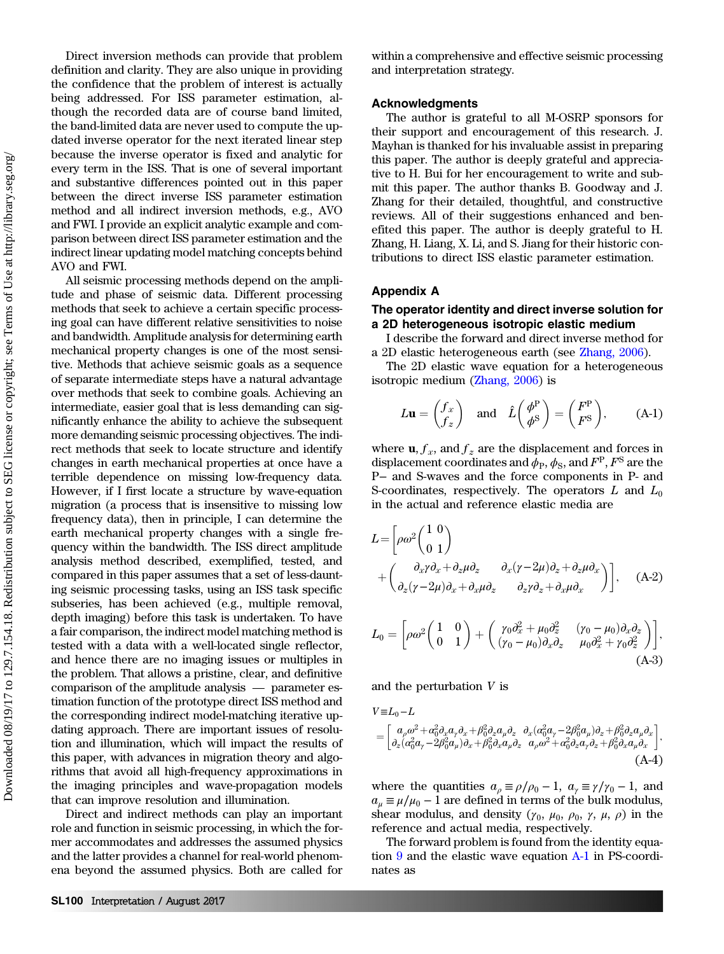<span id="page-11-0"></span>Direct inversion methods can provide that problem definition and clarity. They are also unique in providing the confidence that the problem of interest is actually being addressed. For ISS parameter estimation, although the recorded data are of course band limited, the band-limited data are never used to compute the updated inverse operator for the next iterated linear step because the inverse operator is fixed and analytic for every term in the ISS. That is one of several important and substantive differences pointed out in this paper between the direct inverse ISS parameter estimation method and all indirect inversion methods, e.g., AVO and FWI. I provide an explicit analytic example and comparison between direct ISS parameter estimation and the indirect linear updating model matching concepts behind AVO and FWI.

All seismic processing methods depend on the amplitude and phase of seismic data. Different processing methods that seek to achieve a certain specific processing goal can have different relative sensitivities to noise and bandwidth. Amplitude analysis for determining earth mechanical property changes is one of the most sensitive. Methods that achieve seismic goals as a sequence of separate intermediate steps have a natural advantage over methods that seek to combine goals. Achieving an intermediate, easier goal that is less demanding can significantly enhance the ability to achieve the subsequent more demanding seismic processing objectives. The indirect methods that seek to locate structure and identify changes in earth mechanical properties at once have a terrible dependence on missing low-frequency data. However, if I first locate a structure by wave-equation migration (a process that is insensitive to missing low frequency data), then in principle, I can determine the earth mechanical property changes with a single frequency within the bandwidth. The ISS direct amplitude analysis method described, exemplified, tested, and compared in this paper assumes that a set of less-daunting seismic processing tasks, using an ISS task specific subseries, has been achieved (e.g., multiple removal, depth imaging) before this task is undertaken. To have a fair comparison, the indirect model matching method is tested with a data with a well-located single reflector, and hence there are no imaging issues or multiples in the problem. That allows a pristine, clear, and definitive comparison of the amplitude analysis — parameter estimation function of the prototype direct ISS method and the corresponding indirect model-matching iterative updating approach. There are important issues of resolution and illumination, which will impact the results of this paper, with advances in migration theory and algorithms that avoid all high-frequency approximations in the imaging principles and wave-propagation models that can improve resolution and illumination.

Direct and indirect methods can play an important role and function in seismic processing, in which the former accommodates and addresses the assumed physics and the latter provides a channel for real-world phenomena beyond the assumed physics. Both are called for within a comprehensive and effective seismic processing and interpretation strategy.

#### Acknowledgments

The author is grateful to all M-OSRP sponsors for their support and encouragement of this research. J. Mayhan is thanked for his invaluable assist in preparing this paper. The author is deeply grateful and appreciative to H. Bui for her encouragement to write and submit this paper. The author thanks B. Goodway and J. Zhang for their detailed, thoughtful, and constructive reviews. All of their suggestions enhanced and benefited this paper. The author is deeply grateful to H. Zhang, H. Liang, X. Li, and S. Jiang for their historic contributions to direct ISS elastic parameter estimation.

#### Appendix A

#### The operator identity and direct inverse solution for a 2D heterogeneous isotropic elastic medium

I describe the forward and direct inverse method for a 2D elastic heterogeneous earth (see [Zhang, 2006](#page-18-0)).

The 2D elastic wave equation for a heterogeneous isotropic medium [\(Zhang, 2006\)](#page-18-0) is

$$
L\mathbf{u} = \begin{pmatrix} f_x \\ f_z \end{pmatrix} \text{ and } \hat{L} \begin{pmatrix} \phi^P \\ \phi^S \end{pmatrix} = \begin{pmatrix} F^P \\ F^S \end{pmatrix}, \quad (A-1)
$$

where  $\mathbf{u}, f_x$ , and  $f_z$  are the displacement and forces in displacement coordinates and  $\phi_P$ ,  $\phi_S$ , and  $F^P$ ,  $F^S$  are the P− and S-waves and the force components in P- and S-coordinates, respectively. The operators  $L$  and  $L_0$ in the actual and reference elastic media are

$$
L = \left[\rho\omega^2 \begin{pmatrix} 1 & 0 \\ 0 & 1 \end{pmatrix} \right]
$$
  
+  $\begin{pmatrix} \partial_x \gamma \partial_x + \partial_z \mu \partial_z & \partial_x (\gamma - 2\mu) \partial_z + \partial_z \mu \partial_x \\ \partial_z (\gamma - 2\mu) \partial_x + \partial_x \mu \partial_z & \partial_z \gamma \partial_z + \partial_x \mu \partial_x \end{pmatrix}\right],$  (A-2)

$$
L_0 = \left[\rho\omega^2 \begin{pmatrix} 1 & 0 \\ 0 & 1 \end{pmatrix} + \begin{pmatrix} \gamma_0 \partial_x^2 + \mu_0 \partial_z^2 & (\gamma_0 - \mu_0) \partial_x \partial_z \\ (\gamma_0 - \mu_0) \partial_x \partial_z & \mu_0 \partial_x^2 + \gamma_0 \partial_z^2 \end{pmatrix}\right],
$$
(A-3)

and the perturbation V is

$$
V \equiv L_0 - L
$$
\n
$$
= \begin{bmatrix} a_{\rho}\omega^2 + \alpha_0^2 \partial_x a_{\gamma} \partial_x + \beta_0^2 \partial_z a_{\mu} \partial_z & \partial_x(\alpha_0^2 a_{\gamma} - 2\beta_0^2 a_{\mu}) \partial_z + \beta_0^2 \partial_z a_{\mu} \partial_x \\ \partial_z(\alpha_0^2 a_{\gamma} - 2\beta_0^2 a_{\mu}) \partial_x + \beta_0^2 \partial_x a_{\mu} \partial_z & a_{\rho}\omega^2 + \alpha_0^2 \partial_z a_{\gamma} \partial_z + \beta_0^2 \partial_x a_{\mu} \partial_x \end{bmatrix},
$$
\n(A-4)

where the quantities  $a_{\rho} \equiv \rho/\rho_0 - 1$ ,  $a_{\gamma} \equiv \gamma/\gamma_0 - 1$ , and  $a_u \equiv \mu/\mu_0 - 1$  are defined in terms of the bulk modulus, shear modulus, and density  $(\gamma_0, \mu_0, \rho_0, \gamma, \mu, \rho)$  in the reference and actual media, respectively.

The forward problem is found from the identity equation [9](#page-3-0) and the elastic wave equation A-1 in PS-coordinates as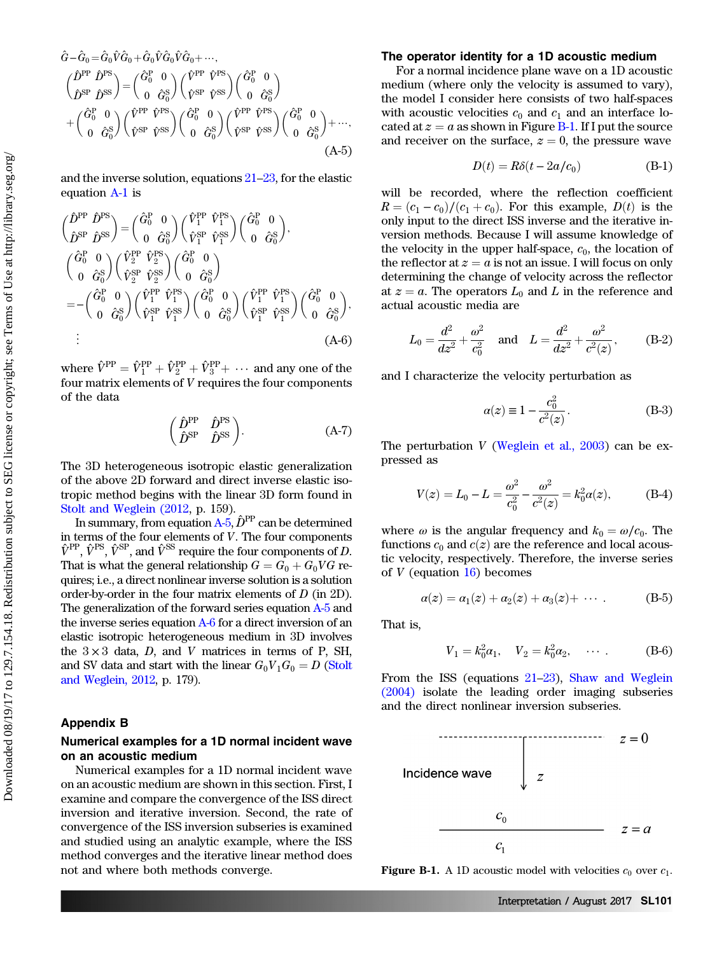<span id="page-12-0"></span>
$$
\hat{G} - \hat{G}_0 = \hat{G}_0 \hat{V} \hat{G}_0 + \hat{G}_0 \hat{V} \hat{G}_0 \hat{V} \hat{G}_0 + \cdots,
$$
\n
$$
\begin{pmatrix}\n\hat{D}^{PP} & \hat{D}^{PS} \\
\hat{D}^{SP} & \hat{D}^{SS}\n\end{pmatrix} = \begin{pmatrix}\n\hat{G}_0^P & 0 \\
0 & \hat{G}_0^S\n\end{pmatrix} \begin{pmatrix}\n\hat{V}^{PP} & \hat{V}^{PS} \\
\hat{V}^{SP} & \hat{V}^{SS}\n\end{pmatrix} \begin{pmatrix}\n\hat{G}_0^P & 0 \\
0 & \hat{G}_0^S\n\end{pmatrix} \\
+ \begin{pmatrix}\n\hat{G}_0^P & 0 \\
0 & \hat{G}_0^S\n\end{pmatrix} \begin{pmatrix}\n\hat{V}^{PP} & \hat{V}^{PS} \\
\hat{V}^{SP} & \hat{V}^{SS}\n\end{pmatrix} \begin{pmatrix}\n\hat{G}_0^P & 0 \\
0 & \hat{G}_0^S\n\end{pmatrix} \begin{pmatrix}\n\hat{V}^{PP} & \hat{V}^{PS} \\
0 & \hat{G}_0^S\n\end{pmatrix} + \cdots,
$$
\n(A-5)

and the inverse solution, equations  $21-23$  $21-23$ , for the elastic equation [A-1](#page-11-0) is

$$
\begin{aligned}\n&\begin{pmatrix}\n\hat{D}^{PP} & \hat{D}^{PS} \\
\hat{D}^{SP} & \hat{D}^{SS}\n\end{pmatrix} = \begin{pmatrix}\n\hat{G}_{0}^{P} & 0 \\
0 & \hat{G}_{0}^{S}\n\end{pmatrix} \begin{pmatrix}\n\hat{V}_{1}^{PP} & \hat{V}_{1}^{PS} \\
\hat{V}_{2}^{SP} & \hat{V}_{2}^{SS}\n\end{pmatrix} \begin{pmatrix}\n\hat{G}_{0}^{P} & 0 \\
0 & \hat{G}_{0}^{S}\n\end{pmatrix}, \\
&\begin{pmatrix}\n\hat{G}_{0}^{P} & 0 \\
0 & \hat{G}_{0}^{S}\n\end{pmatrix} \begin{pmatrix}\n\hat{V}_{2}^{PP} & \hat{V}_{2}^{PS} \\
\hat{V}_{2}^{SP} & \hat{V}_{2}^{SS}\n\end{pmatrix} \begin{pmatrix}\n\hat{G}_{0}^{P} & 0 \\
0 & \hat{G}_{0}^{S}\n\end{pmatrix} \\
&= -\begin{pmatrix}\n\hat{G}_{0}^{P} & 0 \\
0 & \hat{G}_{0}^{S}\n\end{pmatrix} \begin{pmatrix}\n\hat{V}_{1}^{PP} & \hat{V}_{1}^{PS} \\
\hat{V}_{1}^{SP} & \hat{V}_{2}^{SS}\n\end{pmatrix} \begin{pmatrix}\n\hat{G}_{0}^{P} & 0 \\
0 & \hat{G}_{0}^{S}\n\end{pmatrix} \begin{pmatrix}\n\hat{V}_{1}^{PP} & \hat{V}_{1}^{PS} \\
\hat{V}_{2}^{SP} & \hat{V}_{2}^{SS}\n\end{pmatrix} \begin{pmatrix}\n\hat{G}_{0}^{P} & 0 \\
0 & \hat{G}_{0}^{S}\n\end{pmatrix}, \\
&\vdots\n\end{aligned}
$$

where  $\hat{V}^{PP} = \hat{V}^{PP}_1 + \hat{V}^{PP}_2 + \hat{V}^{PP}_3 + \cdots$  and any one of the four matrix elements of V requires the four components of the data

$$
\begin{pmatrix}\n\hat{D}^{\text{PP}} & \hat{D}^{\text{PS}} \\
\hat{D}^{\text{SP}} & \hat{D}^{\text{SS}}\n\end{pmatrix}.
$$
\n(A-7)

The 3D heterogeneous isotropic elastic generalization of the above 2D forward and direct inverse elastic isotropic method begins with the linear 3D form found in [Stolt and Weglein \(2012](#page-17-0), p. 159).

In summary, from equation  $A-5$ ,  $\hat{D}^{\text{PP}}$  can be determined in terms of the four elements of V. The four components  $\hat{V}^{\text{PP}}, \hat{V}^{\text{PS}}, \hat{V}^{\text{SP}},$  and  $\hat{V}^{\text{SS}}$  require the four components of D. That is what the general relationship  $G = G_0 + G_0VG$  requires; i.e., a direct nonlinear inverse solution is a solution order-by-order in the four matrix elements of  $D$  (in 2D). The generalization of the forward series equation [A-5](#page-11-0) and the inverse series equation A-6 for a direct inversion of an elastic isotropic heterogeneous medium in 3D involves the  $3 \times 3$  data, D, and V matrices in terms of P, SH, and SV data and start with the linear  $G_0V_1G_0 = D$  ([Stolt](#page-17-0) [and Weglein, 2012](#page-17-0), p. 179).

#### Appendix B

#### Numerical examples for a 1D normal incident wave on an acoustic medium

Numerical examples for a 1D normal incident wave on an acoustic medium are shown in this section. First, I examine and compare the convergence of the ISS direct inversion and iterative inversion. Second, the rate of convergence of the ISS inversion subseries is examined and studied using an analytic example, where the ISS method converges and the iterative linear method does not and where both methods converge.

#### The operator identity for a 1D acoustic medium

For a normal incidence plane wave on a 1D acoustic medium (where only the velocity is assumed to vary), the model I consider here consists of two half-spaces with acoustic velocities  $c_0$  and  $c_1$  and an interface located at  $z = a$  as shown in Figure B-1. If I put the source and receiver on the surface,  $z = 0$ , the pressure wave

$$
D(t) = R\delta(t - 2a/c_0)
$$
 (B-1)

will be recorded, where the reflection coefficient  $R = (c_1 - c_0)/(c_1 + c_0)$ . For this example,  $D(t)$  is the only input to the direct ISS inverse and the iterative inversion methods. Because I will assume knowledge of the velocity in the upper half-space,  $c_0$ , the location of the reflector at  $z = a$  is not an issue. I will focus on only determining the change of velocity across the reflector at  $z = a$ . The operators  $L_0$  and L in the reference and actual acoustic media are

$$
L_0 = \frac{d^2}{dz^2} + \frac{\omega^2}{c_0^2} \quad \text{and} \quad L = \frac{d^2}{dz^2} + \frac{\omega^2}{c^2(z)}, \quad (B-2)
$$

and I characterize the velocity perturbation as

$$
\alpha(z) \equiv 1 - \frac{c_0^2}{c^2(z)}.
$$
 (B-3)

The perturbation  $V$  ([Weglein et al., 2003](#page-18-0)) can be expressed as

$$
V(z) = L_0 - L = \frac{\omega^2}{c_0^2} - \frac{\omega^2}{c^2(z)} = k_0^2 \alpha(z),
$$
 (B-4)

where  $\omega$  is the angular frequency and  $k_0 = \omega/c_0$ . The functions  $c_0$  and  $c(z)$  are the reference and local acoustic velocity, respectively. Therefore, the inverse series of  $V$  (equation [16](#page-4-0)) becomes

$$
\alpha(z) = \alpha_1(z) + \alpha_2(z) + \alpha_3(z) + \cdots
$$
 (B-5)

That is,

$$
V_1 = k_0^2 \alpha_1, \quad V_2 = k_0^2 \alpha_2, \quad \cdots \quad (B-6)
$$

From the ISS (equations [21](#page-5-0)–[23\)](#page-5-0), [Shaw and Weglein](#page-17-0) [\(2004\)](#page-17-0) isolate the leading order imaging subseries and the direct nonlinear inversion subseries.



**Figure B-1.** A 1D acoustic model with velocities  $c_0$  over  $c_1$ .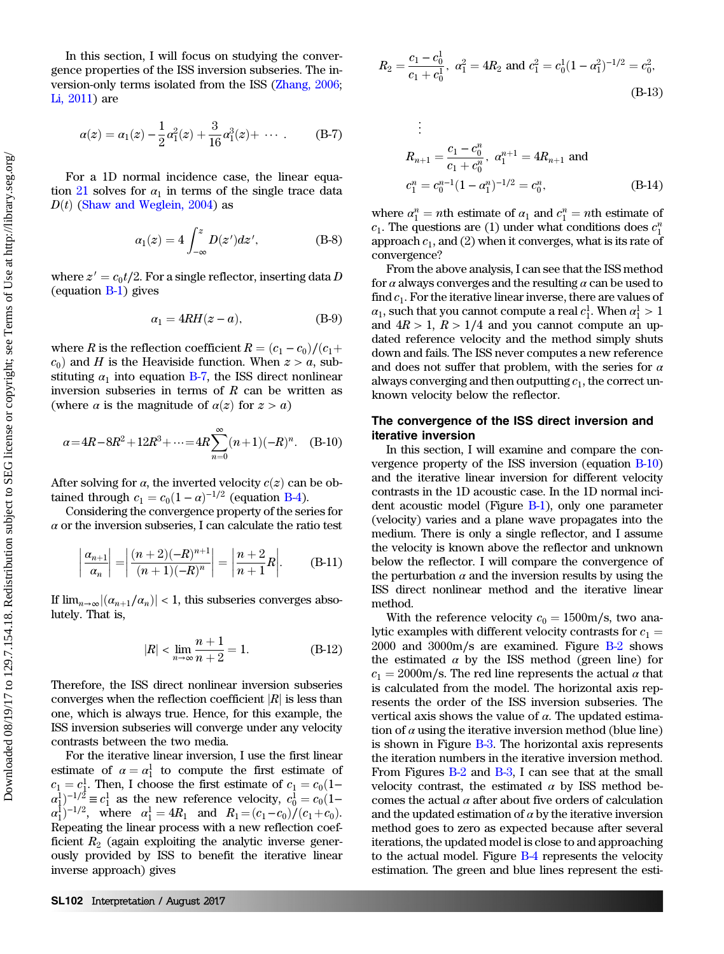<span id="page-13-0"></span>In this section, I will focus on studying the convergence properties of the ISS inversion subseries. The inversion-only terms isolated from the ISS [\(Zhang, 2006](#page-18-0); [Li, 2011](#page-16-0)) are

$$
\alpha(z) = \alpha_1(z) - \frac{1}{2}\alpha_1^2(z) + \frac{3}{16}\alpha_1^3(z) + \cdots
$$
 (B-7)

For a 1D normal incidence case, the linear equa-tion [21](#page-5-0) solves for  $a_1$  in terms of the single trace data  $D(t)$  [\(Shaw and Weglein, 2004\)](#page-17-0) as

$$
\alpha_1(z) = 4 \int_{-\infty}^{z} D(z') dz', \qquad (B-8)
$$

where  $z' = c_0 t/2$ . For a single reflector, inserting data D (equation [B-1](#page-12-0)) gives

$$
\alpha_1 = 4RH(z - a), \qquad (B-9)
$$

where R is the reflection coefficient  $R = (c_1 - c_0)/(c_1 + c_2)$  $c_0$ ) and H is the Heaviside function. When  $z > a$ , substituting  $\alpha_1$  into equation B-7, the ISS direct nonlinear inversion subseries in terms of  $R$  can be written as (where  $\alpha$  is the magnitude of  $\alpha(z)$  for  $z > a$ )

$$
\alpha = 4R - 8R^2 + 12R^3 + \dots = 4R \sum_{n=0}^{\infty} (n+1)(-R)^n.
$$
 (B-10)

After solving for  $\alpha$ , the inverted velocity  $c(z)$  can be obtained through  $c_1 = c_0(1 - \alpha)^{-1/2}$  (equation [B-4\)](#page-12-0).

Considering the convergence property of the series for  $\alpha$  or the inversion subseries, I can calculate the ratio test

$$
\left| \frac{\alpha_{n+1}}{\alpha_n} \right| = \left| \frac{(n+2)(-R)^{n+1}}{(n+1)(-R)^n} \right| = \left| \frac{n+2}{n+1} R \right|.
$$
 (B-11)

If  $\lim_{n\to\infty} |(a_{n+1}/a_n)| < 1$ , this subseries converges absolutely. That is,

$$
|R| < \lim_{n \to \infty} \frac{n+1}{n+2} = 1. \tag{B-12}
$$

Therefore, the ISS direct nonlinear inversion subseries converges when the reflection coefficient  $|R|$  is less than one, which is always true. Hence, for this example, the ISS inversion subseries will converge under any velocity contrasts between the two media.

For the iterative linear inversion, I use the first linear estimate of  $\alpha = \alpha_1^1$  to compute the first estimate of  $c_1 = c_1^1$ . Then, I choose the first estimate of  $c_1 = c_0(1-\frac{1}{2})$  $\alpha_1^1$  $^{-1/2} \equiv c_1^1$  as the new reference velocity,  $c_0^1 = c_0(1 \alpha_1^1$ )<sup>-1/2</sup>, where  $\alpha_1^1 = 4R_1$  and  $R_1 = (c_1 - c_0)/(c_1 + c_0)$ . Repeating the linear process with a new reflection coefficient  $R_2$  (again exploiting the analytic inverse generously provided by ISS to benefit the iterative linear inverse approach) gives

$$
R_2 = \frac{c_1 - c_0^1}{c_1 + c_0^1}, \ \alpha_1^2 = 4R_2 \text{ and } c_1^2 = c_0^1 (1 - \alpha_1^2)^{-1/2} = c_0^2,
$$
\n(B-13)

$$
\vdots
$$
\n
$$
R_{n+1} = \frac{c_1 - c_0^n}{c_1 + c_0^n}, \ \alpha_1^{n+1} = 4R_{n+1} \text{ and}
$$
\n
$$
c_1^n = c_0^{n-1} (1 - \alpha_1^n)^{-1/2} = c_0^n,
$$
\n(B-14)

where  $\alpha_1^n = n$ th estimate of  $\alpha_1$  and  $c_1^n = n$ th estimate of  $c_1$ . The questions are (1) under what conditions does  $c_1^n$ approach  $c_1$ , and (2) when it converges, what is its rate of convergence?

From the above analysis, I can see that the ISS method for  $\alpha$  always converges and the resulting  $\alpha$  can be used to find  $c_1$ . For the iterative linear inverse, there are values of  $\alpha_1$ , such that you cannot compute a real  $c_1^1$ . When  $\alpha_1^1 > 1$ and  $4R > 1$ ,  $R > 1/4$  and you cannot compute an updated reference velocity and the method simply shuts down and fails. The ISS never computes a new reference and does not suffer that problem, with the series for  $\alpha$ always converging and then outputting  $c_1$ , the correct unknown velocity below the reflector.

### The convergence of the ISS direct inversion and iterative inversion

In this section, I will examine and compare the convergence property of the ISS inversion (equation B-10) and the iterative linear inversion for different velocity contrasts in the 1D acoustic case. In the 1D normal incident acoustic model (Figure [B-1](#page-12-0)), only one parameter (velocity) varies and a plane wave propagates into the medium. There is only a single reflector, and I assume the velocity is known above the reflector and unknown below the reflector. I will compare the convergence of the perturbation  $\alpha$  and the inversion results by using the ISS direct nonlinear method and the iterative linear method.

With the reference velocity  $c_0 = 1500 \text{m/s}$ , two analytic examples with different velocity contrasts for  $c_1 =$ 2000 and 3000m∕s are examined. Figure [B-2](#page-14-0) shows the estimated  $\alpha$  by the ISS method (green line) for  $c_1 = 2000 \text{m/s}$ . The red line represents the actual  $\alpha$  that is calculated from the model. The horizontal axis represents the order of the ISS inversion subseries. The vertical axis shows the value of  $\alpha$ . The updated estimation of  $\alpha$  using the iterative inversion method (blue line) is shown in Figure [B-3.](#page-14-0) The horizontal axis represents the iteration numbers in the iterative inversion method. From Figures [B-2](#page-14-0) and [B-3,](#page-14-0) I can see that at the small velocity contrast, the estimated  $\alpha$  by ISS method becomes the actual  $\alpha$  after about five orders of calculation and the updated estimation of  $\alpha$  by the iterative inversion method goes to zero as expected because after several iterations, the updated model is close to and approaching to the actual model. Figure  $B-4$  represents the velocity estimation. The green and blue lines represent the esti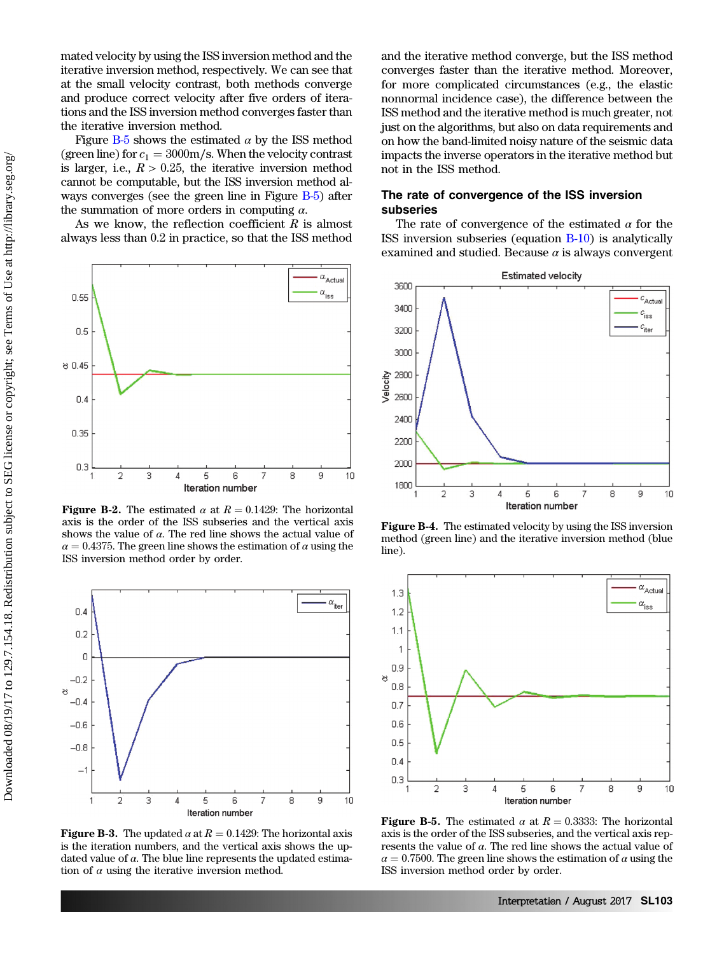<span id="page-14-0"></span>mated velocity by using the ISS inversion method and the iterative inversion method, respectively. We can see that at the small velocity contrast, both methods converge and produce correct velocity after five orders of iterations and the ISS inversion method converges faster than the iterative inversion method.

Figure B-5 shows the estimated  $\alpha$  by the ISS method (green line) for  $c_1 = 3000$ m/s. When the velocity contrast is larger, i.e.,  $R > 0.25$ , the iterative inversion method cannot be computable, but the ISS inversion method always converges (see the green line in Figure  $B_5$ ) after the summation of more orders in computing  $\alpha$ .

As we know, the reflection coefficient  $R$  is almost always less than 0.2 in practice, so that the ISS method



**Figure B-2.** The estimated  $\alpha$  at  $R = 0.1429$ : The horizontal axis is the order of the ISS subseries and the vertical axis shows the value of  $\alpha$ . The red line shows the actual value of  $\alpha = 0.4375$ . The green line shows the estimation of  $\alpha$  using the ISS inversion method order by order.



**Figure B-3.** The updated  $\alpha$  at  $R = 0.1429$ : The horizontal axis is the iteration numbers, and the vertical axis shows the updated value of  $\alpha$ . The blue line represents the updated estimation of  $\alpha$  using the iterative inversion method.

and the iterative method converge, but the ISS method converges faster than the iterative method. Moreover, for more complicated circumstances (e.g., the elastic nonnormal incidence case), the difference between the ISS method and the iterative method is much greater, not just on the algorithms, but also on data requirements and on how the band-limited noisy nature of the seismic data impacts the inverse operators in the iterative method but not in the ISS method.

#### The rate of convergence of the ISS inversion subseries

The rate of convergence of the estimated  $\alpha$  for the ISS inversion subseries (equation [B-10\)](#page-13-0) is analytically examined and studied. Because  $\alpha$  is always convergent



Figure B-4. The estimated velocity by using the ISS inversion method (green line) and the iterative inversion method (blue line).



**Figure B-5.** The estimated  $\alpha$  at  $R = 0.3333$ : The horizontal axis is the order of the ISS subseries, and the vertical axis represents the value of  $\alpha$ . The red line shows the actual value of  $\alpha = 0.7500$ . The green line shows the estimation of  $\alpha$  using the ISS inversion method order by order.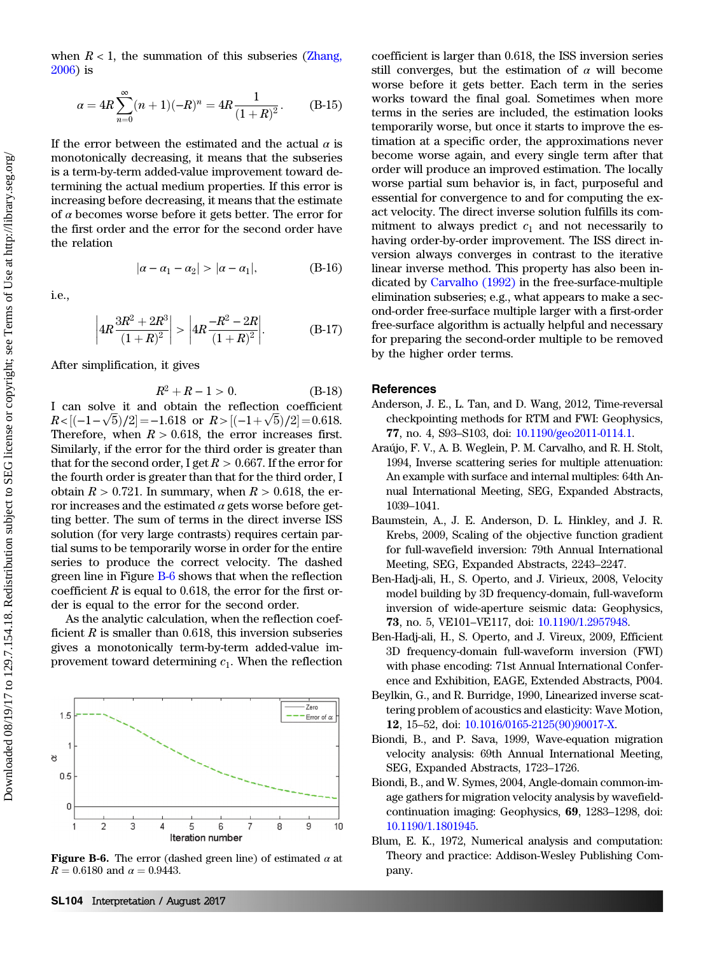<span id="page-15-0"></span>when  $R < 1$ , the summation of this subseries ([Zhang,](#page-18-0) [2006\)](#page-18-0) is

$$
\alpha = 4R \sum_{n=0}^{\infty} (n+1)(-R)^n = 4R \frac{1}{(1+R)^2}.
$$
 (B-15)

If the error between the estimated and the actual  $\alpha$  is monotonically decreasing, it means that the subseries is a term-by-term added-value improvement toward determining the actual medium properties. If this error is increasing before decreasing, it means that the estimate of  $\alpha$  becomes worse before it gets better. The error for the first order and the error for the second order have the relation

$$
|\alpha - \alpha_1 - \alpha_2| > |\alpha - \alpha_1|, \tag{B-16}
$$

i.e.,

$$
\left| 4R \frac{3R^2 + 2R^3}{(1+R)^2} \right| > \left| 4R \frac{-R^2 - 2R}{(1+R)^2} \right|.
$$
 (B-17)

After simplification, it gives

$$
R^2 + R - 1 > 0.
$$
 (B-18)

I can solve it and obtain the reflection coefficient  $R < [(-1-\sqrt{5})/2] = -1.618$  or  $R > [(-1+\sqrt{5})/2] = 0.618$ . Therefore, when  $R > 0.618$ , the error increases first. Similarly, if the error for the third order is greater than that for the second order, I get  $R > 0.667$ . If the error for the fourth order is greater than that for the third order, I obtain  $R > 0.721$ . In summary, when  $R > 0.618$ , the error increases and the estimated  $\alpha$  gets worse before getting better. The sum of terms in the direct inverse ISS solution (for very large contrasts) requires certain partial sums to be temporarily worse in order for the entire series to produce the correct velocity. The dashed green line in Figure B-6 shows that when the reflection coefficient R is equal to 0.618, the error for the first order is equal to the error for the second order.

As the analytic calculation, when the reflection coefficient  $R$  is smaller than 0.618, this inversion subseries gives a monotonically term-by-term added-value improvement toward determining  $c_1$ . When the reflection



**Figure B-6.** The error (dashed green line) of estimated  $\alpha$  at  $R = 0.6180$  and  $\alpha = 0.9443$ .

coefficient is larger than 0.618, the ISS inversion series still converges, but the estimation of  $\alpha$  will become worse before it gets better. Each term in the series works toward the final goal. Sometimes when more terms in the series are included, the estimation looks temporarily worse, but once it starts to improve the estimation at a specific order, the approximations never become worse again, and every single term after that order will produce an improved estimation. The locally worse partial sum behavior is, in fact, purposeful and essential for convergence to and for computing the exact velocity. The direct inverse solution fulfills its commitment to always predict  $c_1$  and not necessarily to having order-by-order improvement. The ISS direct inversion always converges in contrast to the iterative linear inverse method. This property has also been indicated by [Carvalho \(1992\)](#page-16-0) in the free-surface-multiple elimination subseries; e.g., what appears to make a second-order free-surface multiple larger with a first-order free-surface algorithm is actually helpful and necessary for preparing the second-order multiple to be removed by the higher order terms.

#### **References**

- Anderson, J. E., L. Tan, and D. Wang, 2012, Time-reversal checkpointing methods for RTM and FWI: Geophysics, 77, no. 4, S93–S103, doi: [10.1190/geo2011-0114.1.](http://dx.doi.org/10.1190/geo2011-0114.1)
- Araújo, F. V., A. B. Weglein, P. M. Carvalho, and R. H. Stolt, 1994, Inverse scattering series for multiple attenuation: An example with surface and internal multiples: 64th Annual International Meeting, SEG, Expanded Abstracts, <sup>1039</sup>–1041.
- Baumstein, A., J. E. Anderson, D. L. Hinkley, and J. R. Krebs, 2009, Scaling of the objective function gradient for full-wavefield inversion: 79th Annual International Meeting, SEG, Expanded Abstracts, 2243–2247.
- Ben-Hadj-ali, H., S. Operto, and J. Virieux, 2008, Velocity model building by 3D frequency-domain, full-waveform inversion of wide-aperture seismic data: Geophysics, 73, no. 5, VE101–VE117, doi: [10.1190/1.2957948.](http://dx.doi.org/10.1190/1.2957948)
- Ben-Hadj-ali, H., S. Operto, and J. Vireux, 2009, Efficient 3D frequency-domain full-waveform inversion (FWI) with phase encoding: 71st Annual International Conference and Exhibition, EAGE, Extended Abstracts, P004.
- Beylkin, G., and R. Burridge, 1990, Linearized inverse scattering problem of acoustics and elasticity: Wave Motion, 12, 15–52, doi: [10.1016/0165-2125\(90\)90017-X](http://dx.doi.org/10.1016/0165-2125(90)90017-X).
- Biondi, B., and P. Sava, 1999, Wave-equation migration velocity analysis: 69th Annual International Meeting, SEG, Expanded Abstracts, 1723–1726.
- Biondi, B., and W. Symes, 2004, Angle-domain common-image gathers for migration velocity analysis by wavefieldcontinuation imaging: Geophysics, 69, 1283–1298, doi: [10.1190/1.1801945](http://dx.doi.org/10.1190/1.1801945).
- Blum, E. K., 1972, Numerical analysis and computation: Theory and practice: Addison-Wesley Publishing Company.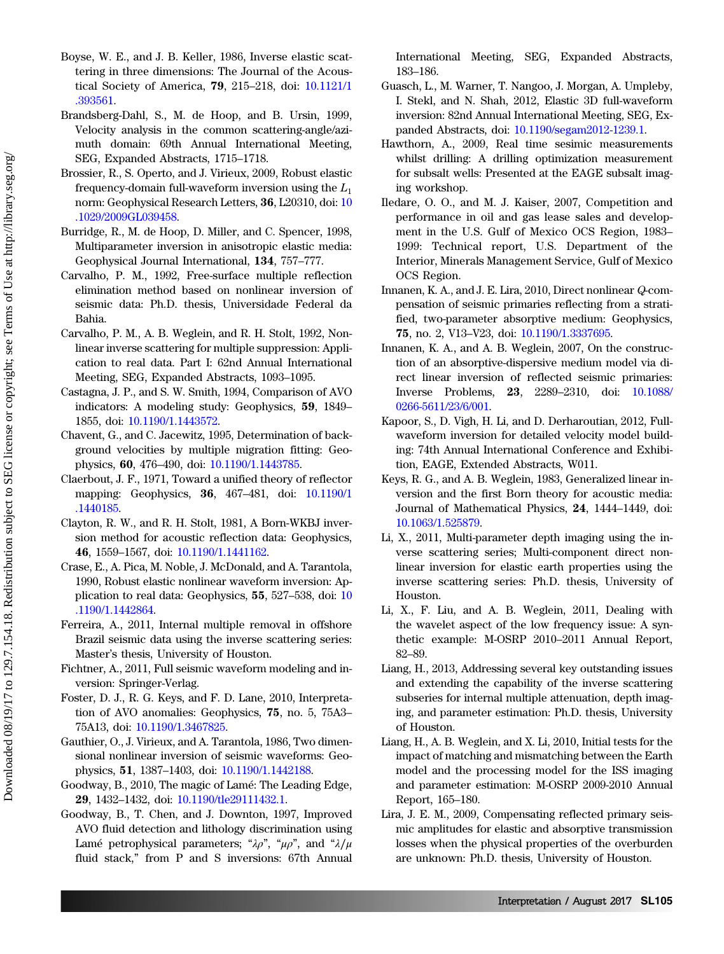- <span id="page-16-0"></span>Boyse, W. E., and J. B. Keller, 1986, Inverse elastic scattering in three dimensions: The Journal of the Acoustical Society of America, 79, 215–218, doi: [10.1121/1](http://dx.doi.org/10.1121/1.393561) [.393561](http://dx.doi.org/10.1121/1.393561).
- Brandsberg-Dahl, S., M. de Hoop, and B. Ursin, 1999, Velocity analysis in the common scattering-angle/azimuth domain: 69th Annual International Meeting, SEG, Expanded Abstracts, 1715–1718.
- Brossier, R., S. Operto, and J. Virieux, 2009, Robust elastic frequency-domain full-waveform inversion using the  $L_1$ norm: Geophysical Research Letters, 36, L20310, doi: [10](http://dx.doi.org/10.1029/2009GL039458) [.1029/2009GL039458](http://dx.doi.org/10.1029/2009GL039458).
- Burridge, R., M. de Hoop, D. Miller, and C. Spencer, 1998, Multiparameter inversion in anisotropic elastic media: Geophysical Journal International, 134, 757–777.
- Carvalho, P. M., 1992, Free-surface multiple reflection elimination method based on nonlinear inversion of seismic data: Ph.D. thesis, Universidade Federal da Bahia.
- Carvalho, P. M., A. B. Weglein, and R. H. Stolt, 1992, Nonlinear inverse scattering for multiple suppression: Application to real data. Part I: 62nd Annual International Meeting, SEG, Expanded Abstracts, 1093–1095.
- Castagna, J. P., and S. W. Smith, 1994, Comparison of AVO indicators: A modeling study: Geophysics, 59, 1849– 1855, doi: [10.1190/1.1443572.](http://dx.doi.org/10.1190/1.1443572)
- Chavent, G., and C. Jacewitz, 1995, Determination of background velocities by multiple migration fitting: Geophysics, 60, 476–490, doi: [10.1190/1.1443785.](http://dx.doi.org/10.1190/1.1443785)
- Claerbout, J. F., 1971, Toward a unified theory of reflector mapping: Geophysics, 36, 467–481, doi: [10.1190/1](http://dx.doi.org/10.1190/1.1440185) [.1440185](http://dx.doi.org/10.1190/1.1440185).
- Clayton, R. W., and R. H. Stolt, 1981, A Born-WKBJ inversion method for acoustic reflection data: Geophysics, 46, 1559–1567, doi: [10.1190/1.1441162.](http://dx.doi.org/10.1190/1.1441162)
- Crase, E., A. Pica, M. Noble, J. McDonald, and A. Tarantola, 1990, Robust elastic nonlinear waveform inversion: Application to real data: Geophysics, 55, 527–538, doi: [10](http://dx.doi.org/10.1190/1.1442864) [.1190/1.1442864.](http://dx.doi.org/10.1190/1.1442864)
- Ferreira, A., 2011, Internal multiple removal in offshore Brazil seismic data using the inverse scattering series: Master's thesis, University of Houston.
- Fichtner, A., 2011, Full seismic waveform modeling and inversion: Springer-Verlag.
- Foster, D. J., R. G. Keys, and F. D. Lane, 2010, Interpretation of AVO anomalies: Geophysics, 75, no. 5, 75A3– 75A13, doi: [10.1190/1.3467825.](http://dx.doi.org/10.1190/1.3467825)
- Gauthier, O., J. Virieux, and A. Tarantola, 1986, Two dimensional nonlinear inversion of seismic waveforms: Geophysics, 51, 1387–1403, doi: [10.1190/1.1442188](http://dx.doi.org/10.1190/1.1442188).
- Goodway, B., 2010, The magic of Lamé: The Leading Edge, 29, 1432–1432, doi: [10.1190/tle29111432.1.](http://dx.doi.org/10.1190/tle29111432.1)
- Goodway, B., T. Chen, and J. Downton, 1997, Improved AVO fluid detection and lithology discrimination using Lamé petrophysical parameters; " $\lambda \rho$ ", " $\mu \rho$ ", and " $\lambda/\mu$ fluid stack," from P and S inversions: 67th Annual

International Meeting, SEG, Expanded Abstracts, <sup>183</sup>–186.

- Guasch, L., M. Warner, T. Nangoo, J. Morgan, A. Umpleby, I. Stekl, and N. Shah, 2012, Elastic 3D full-waveform inversion: 82nd Annual International Meeting, SEG, Expanded Abstracts, doi: [10.1190/segam2012-1239.1.](http://dx.doi.org/10.1190/segam2012-1239.1)
- Hawthorn, A., 2009, Real time sesimic measurements whilst drilling: A drilling optimization measurement for subsalt wells: Presented at the EAGE subsalt imaging workshop.
- Iledare, O. O., and M. J. Kaiser, 2007, Competition and performance in oil and gas lease sales and development in the U.S. Gulf of Mexico OCS Region, 1983– 1999: Technical report, U.S. Department of the Interior, Minerals Management Service, Gulf of Mexico OCS Region.
- Innanen, K. A., and J. E. Lira, 2010, Direct nonlinear Q-compensation of seismic primaries reflecting from a stratified, two-parameter absorptive medium: Geophysics, 75, no. 2, V13–V23, doi: [10.1190/1.3337695.](http://dx.doi.org/10.1190/1.3337695)
- Innanen, K. A., and A. B. Weglein, 2007, On the construction of an absorptive-dispersive medium model via direct linear inversion of reflected seismic primaries: Inverse Problems, 23, 2289–2310, doi: [10.1088/](http://dx.doi.org/10.1088/0266-5611/23/6/001) [0266-5611/23/6/001](http://dx.doi.org/10.1088/0266-5611/23/6/001).
- Kapoor, S., D. Vigh, H. Li, and D. Derharoutian, 2012, Fullwaveform inversion for detailed velocity model building: 74th Annual International Conference and Exhibition, EAGE, Extended Abstracts, W011.
- Keys, R. G., and A. B. Weglein, 1983, Generalized linear inversion and the first Born theory for acoustic media: Journal of Mathematical Physics, 24, 1444–1449, doi: [10.1063/1.525879.](http://dx.doi.org/10.1063/1.525879)
- Li, X., 2011, Multi-parameter depth imaging using the inverse scattering series; Multi-component direct nonlinear inversion for elastic earth properties using the inverse scattering series: Ph.D. thesis, University of Houston.
- Li, X., F. Liu, and A. B. Weglein, 2011, Dealing with the wavelet aspect of the low frequency issue: A synthetic example: M-OSRP 2010–2011 Annual Report, <sup>82</sup>–89.
- Liang, H., 2013, Addressing several key outstanding issues and extending the capability of the inverse scattering subseries for internal multiple attenuation, depth imaging, and parameter estimation: Ph.D. thesis, University of Houston.
- Liang, H., A. B. Weglein, and X. Li, 2010, Initial tests for the impact of matching and mismatching between the Earth model and the processing model for the ISS imaging and parameter estimation: M-OSRP 2009-2010 Annual Report, 165–180.
- Lira, J. E. M., 2009, Compensating reflected primary seismic amplitudes for elastic and absorptive transmission losses when the physical properties of the overburden are unknown: Ph.D. thesis, University of Houston.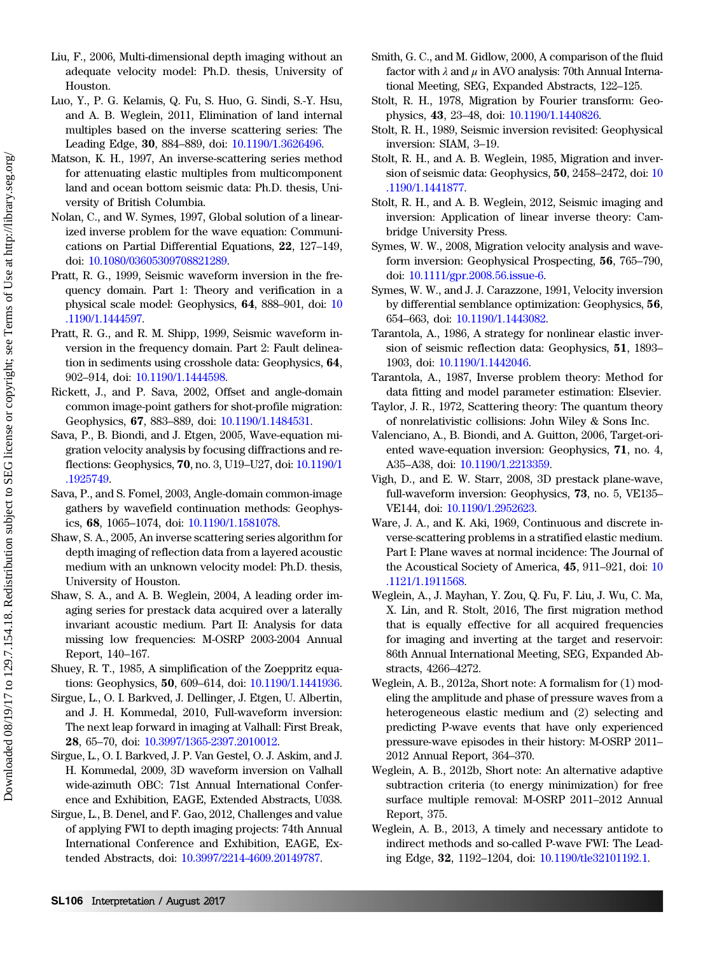- <span id="page-17-0"></span>Liu, F., 2006, Multi-dimensional depth imaging without an adequate velocity model: Ph.D. thesis, University of Houston.
- Luo, Y., P. G. Kelamis, Q. Fu, S. Huo, G. Sindi, S.-Y. Hsu, and A. B. Weglein, 2011, Elimination of land internal multiples based on the inverse scattering series: The Leading Edge, 30, 884–889, doi: [10.1190/1.3626496.](http://dx.doi.org/10.1190/1.3626496)
- Matson, K. H., 1997, An inverse-scattering series method for attenuating elastic multiples from multicomponent land and ocean bottom seismic data: Ph.D. thesis, University of British Columbia.
- Nolan, C., and W. Symes, 1997, Global solution of a linearized inverse problem for the wave equation: Communications on Partial Differential Equations, 22, 127–149, doi: [10.1080/03605309708821289](http://dx.doi.org/10.1080/03605309708821289).
- Pratt, R. G., 1999, Seismic waveform inversion in the frequency domain. Part 1: Theory and verification in a physical scale model: Geophysics, 64, 888–901, doi: [10](http://dx.doi.org/10.1190/1.1444597) [.1190/1.1444597.](http://dx.doi.org/10.1190/1.1444597)
- Pratt, R. G., and R. M. Shipp, 1999, Seismic waveform inversion in the frequency domain. Part 2: Fault delineation in sediments using crosshole data: Geophysics, 64, <sup>902</sup>–914, doi: [10.1190/1.1444598.](http://dx.doi.org/10.1190/1.1444598)
- Rickett, J., and P. Sava, 2002, Offset and angle-domain common image-point gathers for shot-profile migration: Geophysics, 67, 883–889, doi: [10.1190/1.1484531.](http://dx.doi.org/10.1190/1.1484531)
- Sava, P., B. Biondi, and J. Etgen, 2005, Wave-equation migration velocity analysis by focusing diffractions and reflections: Geophysics, 70, no. 3, U19–U27, doi: [10.1190/1](http://dx.doi.org/10.1190/1.1925749) [.1925749](http://dx.doi.org/10.1190/1.1925749).
- Sava, P., and S. Fomel, 2003, Angle-domain common-image gathers by wavefield continuation methods: Geophysics, 68, 1065–1074, doi: [10.1190/1.1581078.](http://dx.doi.org/10.1190/1.1581078)
- Shaw, S. A., 2005, An inverse scattering series algorithm for depth imaging of reflection data from a layered acoustic medium with an unknown velocity model: Ph.D. thesis, University of Houston.
- Shaw, S. A., and A. B. Weglein, 2004, A leading order imaging series for prestack data acquired over a laterally invariant acoustic medium. Part II: Analysis for data missing low frequencies: M-OSRP 2003-2004 Annual Report, 140–167.
- Shuey, R. T., 1985, A simplification of the Zoeppritz equations: Geophysics, 50, 609–614, doi: [10.1190/1.1441936.](http://dx.doi.org/10.1190/1.1441936)
- Sirgue, L., O. I. Barkved, J. Dellinger, J. Etgen, U. Albertin, and J. H. Kommedal, 2010, Full-waveform inversion: The next leap forward in imaging at Valhall: First Break, 28, 65–70, doi: [10.3997/1365-2397.2010012.](http://dx.doi.org/10.3997/1365-2397.2010012)
- Sirgue, L., O. I. Barkved, J. P. Van Gestel, O. J. Askim, and J. H. Kommedal, 2009, 3D waveform inversion on Valhall wide-azimuth OBC: 71st Annual International Conference and Exhibition, EAGE, Extended Abstracts, U038.
- Sirgue, L., B. Denel, and F. Gao, 2012, Challenges and value of applying FWI to depth imaging projects: 74th Annual International Conference and Exhibition, EAGE, Extended Abstracts, doi: [10.3997/2214-4609.20149787.](http://dx.doi.org/10.3997/2214-4609.20149787)
- Smith, G. C., and M. Gidlow, 2000, A comparison of the fluid factor with  $\lambda$  and  $\mu$  in AVO analysis: 70th Annual International Meeting, SEG, Expanded Abstracts, 122–125.
- Stolt, R. H., 1978, Migration by Fourier transform: Geophysics, 43, 23–48, doi: [10.1190/1.1440826](http://dx.doi.org/10.1190/1.1440826).
- Stolt, R. H., 1989, Seismic inversion revisited: Geophysical inversion: SIAM, 3–19.
- Stolt, R. H., and A. B. Weglein, 1985, Migration and inversion of seismic data: Geophysics, 50, 2458–2472, doi: [10](http://dx.doi.org/10.1190/1.1441877) [.1190/1.1441877.](http://dx.doi.org/10.1190/1.1441877)
- Stolt, R. H., and A. B. Weglein, 2012, Seismic imaging and inversion: Application of linear inverse theory: Cambridge University Press.
- Symes, W. W., 2008, Migration velocity analysis and waveform inversion: Geophysical Prospecting, 56, 765–790, doi: [10.1111/gpr.2008.56.issue-6](http://dx.doi.org/10.1111/gpr.2008.56.issue-6).
- Symes, W. W., and J. J. Carazzone, 1991, Velocity inversion by differential semblance optimization: Geophysics, 56, <sup>654</sup>–663, doi: [10.1190/1.1443082.](http://dx.doi.org/10.1190/1.1443082)
- Tarantola, A., 1986, A strategy for nonlinear elastic inversion of seismic reflection data: Geophysics, 51, 1893– 1903, doi: [10.1190/1.1442046.](http://dx.doi.org/10.1190/1.1442046)
- Tarantola, A., 1987, Inverse problem theory: Method for data fitting and model parameter estimation: Elsevier.
- Taylor, J. R., 1972, Scattering theory: The quantum theory of nonrelativistic collisions: John Wiley & Sons Inc.
- Valenciano, A., B. Biondi, and A. Guitton, 2006, Target-oriented wave-equation inversion: Geophysics, 71, no. 4, A35–A38, doi: [10.1190/1.2213359.](http://dx.doi.org/10.1190/1.2213359)
- Vigh, D., and E. W. Starr, 2008, 3D prestack plane-wave, full-waveform inversion: Geophysics, 73, no. 5, VE135– VE144, doi: [10.1190/1.2952623](http://dx.doi.org/10.1190/1.2952623).
- Ware, J. A., and K. Aki, 1969, Continuous and discrete inverse-scattering problems in a stratified elastic medium. Part I: Plane waves at normal incidence: The Journal of the Acoustical Society of America, 45, 911–921, doi: [10](http://dx.doi.org/10.1121/1.1911568) [.1121/1.1911568.](http://dx.doi.org/10.1121/1.1911568)
- Weglein, A., J. Mayhan, Y. Zou, Q. Fu, F. Liu, J. Wu, C. Ma, X. Lin, and R. Stolt, 2016, The first migration method that is equally effective for all acquired frequencies for imaging and inverting at the target and reservoir: 86th Annual International Meeting, SEG, Expanded Abstracts, 4266–4272.
- Weglein, A. B., 2012a, Short note: A formalism for (1) modeling the amplitude and phase of pressure waves from a heterogeneous elastic medium and (2) selecting and predicting P-wave events that have only experienced pressure-wave episodes in their history: M-OSRP 2011– 2012 Annual Report, 364–370.
- Weglein, A. B., 2012b, Short note: An alternative adaptive subtraction criteria (to energy minimization) for free surface multiple removal: M-OSRP 2011–2012 Annual Report, 375.
- Weglein, A. B., 2013, A timely and necessary antidote to indirect methods and so-called P-wave FWI: The Leading Edge, 32, 1192–1204, doi: [10.1190/tle32101192.1](http://dx.doi.org/10.1190/tle32101192.1).